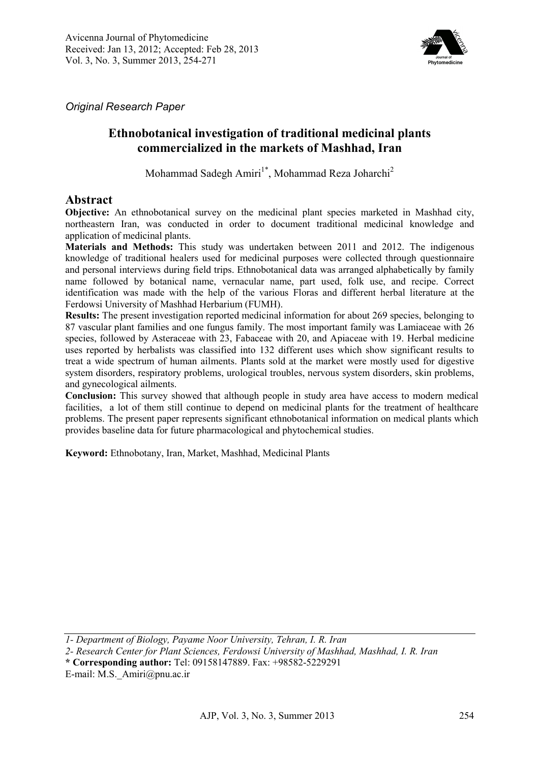

*Original Research Paper* 

# **Ethnobotanical investigation of traditional medicinal plants commercialized in the markets of Mashhad, Iran**

Mohammad Sadegh Amiri<sup>1\*</sup>, Mohammad Reza Joharchi<sup>2</sup>

#### **Abstract**

**Objective:** An ethnobotanical survey on the medicinal plant species marketed in Mashhad city, northeastern Iran, was conducted in order to document traditional medicinal knowledge and application of medicinal plants.

**Materials and Methods:** This study was undertaken between 2011 and 2012. The indigenous knowledge of traditional healers used for medicinal purposes were collected through questionnaire and personal interviews during field trips. Ethnobotanical data was arranged alphabetically by family name followed by botanical name, vernacular name, part used, folk use, and recipe. Correct identification was made with the help of the various Floras and different herbal literature at the Ferdowsi University of Mashhad Herbarium (FUMH).

**Results:** The present investigation reported medicinal information for about 269 species, belonging to 87 vascular plant families and one fungus family. The most important family was Lamiaceae with 26 species, followed by Asteraceae with 23, Fabaceae with 20, and Apiaceae with 19. Herbal medicine uses reported by herbalists was classified into 132 different uses which show significant results to treat a wide spectrum of human ailments. Plants sold at the market were mostly used for digestive system disorders, respiratory problems, urological troubles, nervous system disorders, skin problems, and gynecological ailments.

**Conclusion:** This survey showed that although people in study area have access to modern medical facilities, a lot of them still continue to depend on medicinal plants for the treatment of healthcare problems. The present paper represents significant ethnobotanical information on medical plants which provides baseline data for future pharmacological and phytochemical studies.

**Keyword:** Ethnobotany, Iran, Market, Mashhad, Medicinal Plants

*1- Department of Biology, Payame Noor University, Tehran, I. R. Iran* 

*2- Research Center for Plant Sciences, Ferdowsi University of Mashhad, Mashhad, I. R. Iran* 

**\* Corresponding author:** Tel: 09158147889. Fax: +98582-5229291

E-mail: M.S.\_Amiri@pnu.ac.ir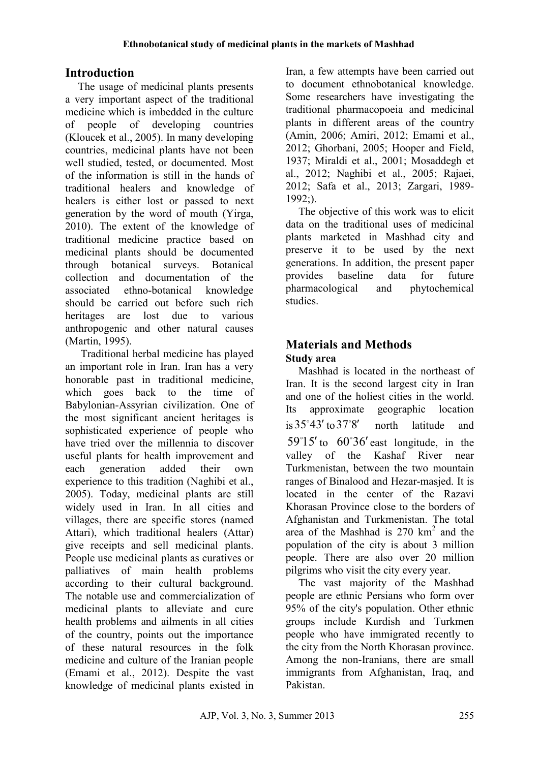# **Introduction**

The usage of medicinal plants presents a very important aspect of the traditional medicine which is imbedded in the culture of people of developing countries (Kloucek et al., 2005). In many developing countries, medicinal plants have not been well studied, tested, or documented. Most of the information is still in the hands of traditional healers and knowledge of healers is either lost or passed to next generation by the word of mouth (Yirga, 2010). The extent of the knowledge of traditional medicine practice based on medicinal plants should be documented through botanical surveys. Botanical collection and documentation of the associated ethno-botanical knowledge should be carried out before such rich heritages are lost due to various anthropogenic and other natural causes (Martin, 1995).

 Traditional herbal medicine has played an important role in Iran. Iran has a very honorable past in traditional medicine, which goes back to the time of Babylonian-Assyrian civilization. One of the most significant ancient heritages is sophisticated experience of people who have tried over the millennia to discover useful plants for health improvement and each generation added their own experience to this tradition (Naghibi et al., 2005). Today, medicinal plants are still widely used in Iran. In all cities and villages, there are specific stores (named Attari), which traditional healers (Attar) give receipts and sell medicinal plants. People use medicinal plants as curatives or palliatives of main health problems according to their cultural background. The notable use and commercialization of medicinal plants to alleviate and cure health problems and ailments in all cities of the country, points out the importance of these natural resources in the folk medicine and culture of the Iranian people (Emami et al., 2012). Despite the vast knowledge of medicinal plants existed in

Iran, a few attempts have been carried out to document ethnobotanical knowledge. Some researchers have investigating the traditional pharmacopoeia and medicinal plants in different areas of the country (Amin, 2006; Amiri, 2012; Emami et al., 2012; Ghorbani, 2005; Hooper and Field, 1937; Miraldi et al., 2001; Mosaddegh et al., 2012; Naghibi et al., 2005; Rajaei, 2012; Safa et al., 2013; Zargari, 1989- 1992;).

The objective of this work was to elicit data on the traditional uses of medicinal plants marketed in Mashhad city and preserve it to be used by the next generations. In addition, the present paper provides baseline data for future pharmacological and phytochemical studies.

# **Materials and Methods**

#### **Study area**

Mashhad is located in the northeast of Iran. It is the second largest city in Iran and one of the holiest cities in the world. Its approximate geographic location is  $35^{\circ}43'$  to  $37^{\circ}8'$  north latitude and  $59^{\circ}15'$  to  $60^{\circ}36'$  east longitude, in the valley of the Kashaf River near Turkmenistan, between the two mountain ranges of Binalood and Hezar-masjed. It is located in the center of the Razavi Khorasan Province close to the borders of Afghanistan and Turkmenistan. The total area of the Mashhad is  $270 \text{ km}^2$  and the population of the city is about 3 million people. There are also over 20 million pilgrims who visit the city every year.

The vast majority of the Mashhad people are ethnic Persians who form over 95% of the city's population. Other ethnic groups include Kurdish and Turkmen people who have immigrated recently to the city from the North Khorasan province. Among the non-Iranians, there are small immigrants from Afghanistan, Iraq, and Pakistan.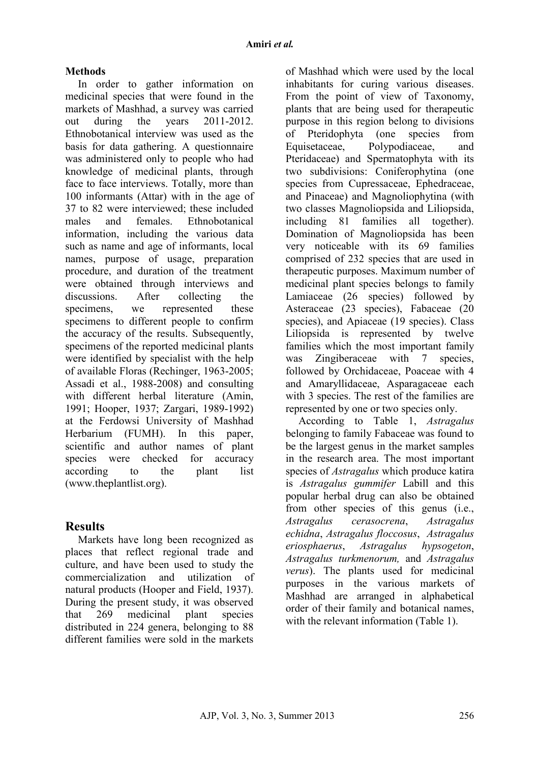#### **Methods**

In order to gather information on medicinal species that were found in the markets of Mashhad, a survey was carried out during the years 2011-2012. Ethnobotanical interview was used as the basis for data gathering. A questionnaire was administered only to people who had knowledge of medicinal plants, through face to face interviews. Totally, more than 100 informants (Attar) with in the age of 37 to 82 were interviewed; these included males and females Ethnobotanical information, including the various data such as name and age of informants, local names, purpose of usage, preparation procedure, and duration of the treatment were obtained through interviews and discussions. After collecting the specimens, we represented these specimens to different people to confirm the accuracy of the results. Subsequently, specimens of the reported medicinal plants were identified by specialist with the help of available Floras (Rechinger, 1963-2005; Assadi et al., 1988-2008) and consulting with different herbal literature (Amin, 1991; Hooper, 1937; Zargari, 1989-1992) at the Ferdowsi University of Mashhad Herbarium (FUMH). In this paper, scientific and author names of plant species were checked for accuracy according to the plant list (www.theplantlist.org).

# **Results**

Markets have long been recognized as places that reflect regional trade and culture, and have been used to study the commercialization and utilization of natural products (Hooper and Field, 1937). During the present study, it was observed that 269 medicinal plant species distributed in 224 genera, belonging to 88 different families were sold in the markets

of Mashhad which were used by the local inhabitants for curing various diseases. From the point of view of Taxonomy, plants that are being used for therapeutic purpose in this region belong to divisions of Pteridophyta (one species from Equisetaceae, Polypodiaceae, and Pteridaceae) and Spermatophyta with its two subdivisions: Coniferophytina (one species from Cupressaceae, Ephedraceae, and Pinaceae) and Magnoliophytina (with two classes Magnoliopsida and Liliopsida, including 81 families all together). Domination of Magnoliopsida has been very noticeable with its 69 families comprised of 232 species that are used in therapeutic purposes. Maximum number of medicinal plant species belongs to family Lamiaceae (26 species) followed by Asteraceae (23 species), Fabaceae (20 species), and Apiaceae (19 species). Class Liliopsida is represented by twelve families which the most important family was Zingiberaceae with 7 species, followed by Orchidaceae, Poaceae with 4 and Amaryllidaceae, Asparagaceae each with 3 species. The rest of the families are represented by one or two species only.

According to Table 1, *Astragalus*  belonging to family Fabaceae was found to be the largest genus in the market samples in the research area. The most important species of *Astragalus* which produce katira is *Astragalus gummifer* Labill and this popular herbal drug can also be obtained from other species of this genus (i.e., *Astragalus cerasocrena*, *Astragalus echidna*, *Astragalus floccosus*, *Astragalus eriosphaerus*, *Astragalus hypsogeton*, *Astragalus turkmenorum,* and *Astragalus verus*). The plants used for medicinal purposes in the various markets of Mashhad are arranged in alphabetical order of their family and botanical names, with the relevant information (Table 1).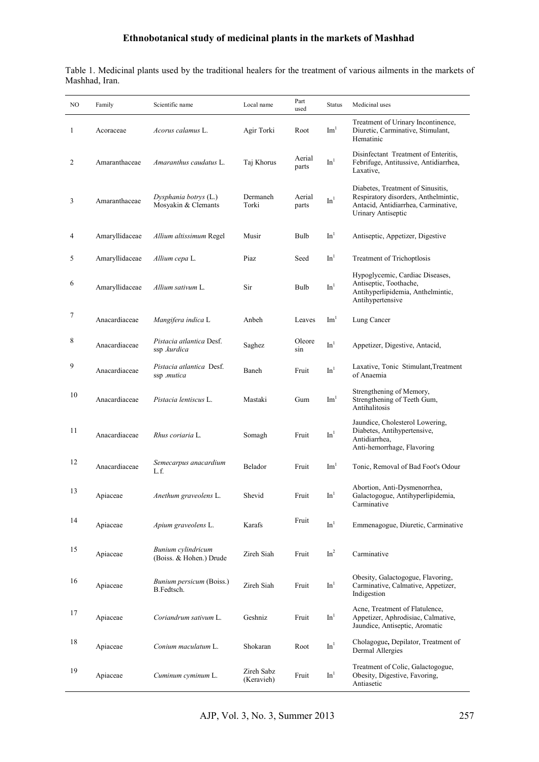| Table 1. Medicinal plants used by the traditional healers for the treatment of various ailments in the markets of |  |  |  |  |
|-------------------------------------------------------------------------------------------------------------------|--|--|--|--|
| Mashhad, Iran.                                                                                                    |  |  |  |  |

| NO. | Family         | Scientific name                               | Local name               | Part<br>used    | <b>Status</b>                | Medicinal uses                                                                                                                         |
|-----|----------------|-----------------------------------------------|--------------------------|-----------------|------------------------------|----------------------------------------------------------------------------------------------------------------------------------------|
| 1   | Acoraceae      | <i>Acorus calamus L.</i>                      | Agir Torki               | Root            | $\mathrm{Im}^1$              | Treatment of Urinary Incontinence,<br>Diuretic, Carminative, Stimulant,<br>Hematinic                                                   |
| 2   | Amaranthaceae  | <i>Amaranthus caudatus</i> L.                 | Taj Khorus               | Aerial<br>parts | In <sup>1</sup>              | Disinfectant Treatment of Enteritis,<br>Febrifuge, Antitussive, Antidiarrhea,<br>Laxative,                                             |
| 3   | Amaranthaceae  | Dysphania botrys (L.)<br>Mosyakin & Clemants  | Dermaneh<br>Torki        | Aerial<br>parts | In <sup>1</sup>              | Diabetes, Treatment of Sinusitis,<br>Respiratory disorders, Anthelmintic,<br>Antacid, Antidiarrhea, Carminative,<br>Urinary Antiseptic |
| 4   | Amaryllidaceae | Allium altissimum Regel                       | Musir                    | Bulb            | In <sup>1</sup>              | Antiseptic, Appetizer, Digestive                                                                                                       |
| 5   | Amaryllidaceae | Allium cepa L.                                | Piaz                     | Seed            | In <sup>1</sup>              | Treatment of Trichoptlosis                                                                                                             |
| 6   | Amaryllidaceae | Allium sativum L.                             | Sir                      | Bulb            | In <sup>1</sup>              | Hypoglycemic, Cardiac Diseases,<br>Antiseptic, Toothache,<br>Antihyperlipidemia, Anthelmintic,<br>Antihypertensive                     |
| 7   | Anacardiaceae  | Mangifera indica L                            | Anbeh                    | Leaves          | Im <sup>1</sup>              | Lung Cancer                                                                                                                            |
| 8   | Anacardiaceae  | Pistacia atlantica Desf.<br>ssp .kurdica      | Saghez                   | Oleore<br>sin   | In <sup>1</sup>              | Appetizer, Digestive, Antacid,                                                                                                         |
| 9   | Anacardiaceae  | Pistacia atlantica Desf.<br>ssp .mutica       | Baneh                    | Fruit           | In <sup>1</sup>              | Laxative, Tonic Stimulant, Treatment<br>of Anaemia                                                                                     |
| 10  | Anacardiaceae  | <i>Pistacia lentiscus</i> L.                  | Mastaki                  | Gum             | Im <sup>1</sup>              | Strengthening of Memory,<br>Strengthening of Teeth Gum,<br>Antihalitosis                                                               |
| 11  | Anacardiaceae  | Rhus coriaria L.                              | Somagh                   | Fruit           | In <sup>1</sup>              | Jaundice, Cholesterol Lowering,<br>Diabetes, Antihypertensive,<br>Antidiarrhea,<br>Anti-hemorrhage, Flavoring                          |
| 12  | Anacardiaceae  | Semecarpus anacardium<br>L.f.                 | Belador                  | Fruit           | $\mathrm{Im}^1$              | Tonic, Removal of Bad Foot's Odour                                                                                                     |
| 13  | Apiaceae       | Anethum graveolens L.                         | Shevid                   | Fruit           | In <sup>1</sup>              | Abortion, Anti-Dysmenorrhea,<br>Galactogogue, Antihyperlipidemia,<br>Carminative                                                       |
| 14  | Apiaceae       | Apium graveolens L.                           | Karafs                   | Fruit           | $\mathop{\rm In}\nolimits^1$ | Emmenagogue, Diuretic, Carminative                                                                                                     |
| 15  | Apiaceae       | Bunium cylindricum<br>(Boiss. & Hohen.) Drude | Zireh Siah               | Fruit           | In <sup>2</sup>              | Carminative                                                                                                                            |
| 16  | Apiaceae       | Bunium persicum (Boiss.)<br>B.Fedtsch.        | Zireh Siah               | Fruit           | In <sup>1</sup>              | Obesity, Galactogogue, Flavoring,<br>Carminative, Calmative, Appetizer,<br>Indigestion                                                 |
| 17  | Apiaceae       | Coriandrum sativum L.                         | Geshniz                  | Fruit           | In <sup>1</sup>              | Acne, Treatment of Flatulence,<br>Appetizer, Aphrodisiac, Calmative,<br>Jaundice, Antiseptic, Aromatic                                 |
| 18  | Apiaceae       | Conium maculatum L.                           | Shokaran                 | Root            | In <sup>1</sup>              | Cholagogue, Depilator, Treatment of<br>Dermal Allergies                                                                                |
| 19  | Apiaceae       | Cuminum cyminum L.                            | Zireh Sabz<br>(Keravieh) | Fruit           | In <sup>1</sup>              | Treatment of Colic, Galactogogue,<br>Obesity, Digestive, Favoring,<br>Antiasetic                                                       |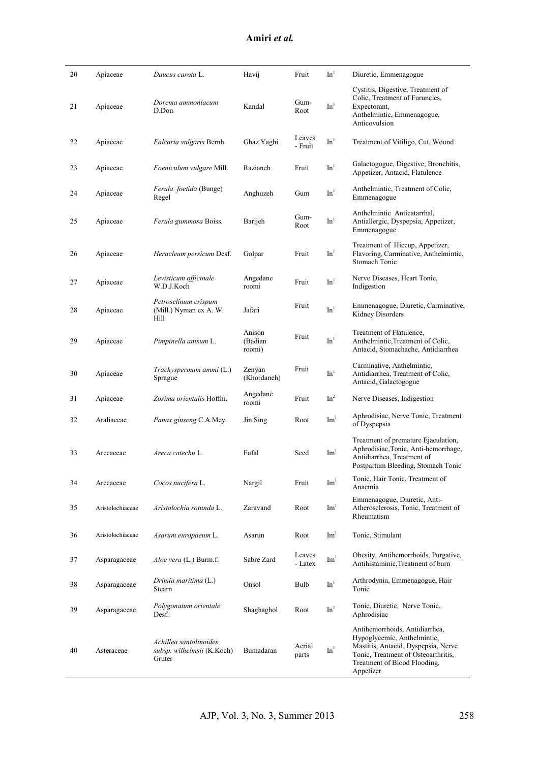| Amiri et al. |
|--------------|
|--------------|

| 20 | Apiaceae         | Daucus carota L.                                               | Havij                       | Fruit             | In <sup>1</sup> | Diuretic, Emmenagogue                                                                                                                                                                    |
|----|------------------|----------------------------------------------------------------|-----------------------------|-------------------|-----------------|------------------------------------------------------------------------------------------------------------------------------------------------------------------------------------------|
| 21 | Apiaceae         | Dorema ammoniacum<br>D.Don                                     | Kandal                      | Gum-<br>Root      | In <sup>1</sup> | Cystitis, Digestive, Treatment of<br>Colic, Treatment of Furuncles,<br>Expectorant,<br>Anthelmintic, Emmenagogue,<br>Anticovulsion                                                       |
| 22 | Apiaceae         | Falcaria vulgaris Bernh.                                       | Ghaz Yaghi                  | Leaves<br>- Fruit | In <sup>1</sup> | Treatment of Vitiligo, Cut, Wound                                                                                                                                                        |
| 23 | Apiaceae         | Foeniculum vulgare Mill.                                       | Razianeh                    | Fruit             | In <sup>1</sup> | Galactogogue, Digestive, Bronchitis,<br>Appetizer, Antacid, Flatulence                                                                                                                   |
| 24 | Apiaceae         | Ferula foetida (Bunge)<br>Regel                                | Anghuzeh                    | Gum               | In <sup>1</sup> | Anthelmintic, Treatment of Colic,<br>Emmenagogue                                                                                                                                         |
| 25 | Apiaceae         | Ferula gummosa Boiss.                                          | Barijeh                     | Gum-<br>Root      | In <sup>1</sup> | Anthelmintic Anticatarrhal,<br>Antiallergic, Dyspepsia, Appetizer,<br>Emmenagogue                                                                                                        |
| 26 | Apiaceae         | Heracleum persicum Desf.                                       | Golpar                      | Fruit             | In <sup>1</sup> | Treatment of Hiccup, Appetizer,<br>Flavoring, Carminative, Anthelmintic,<br>Stomach Tonic                                                                                                |
| 27 | Apiaceae         | Levisticum officinale<br>W.D.J.Koch                            | Angedane<br>roomi           | Fruit             | $\mathrm{In}^1$ | Nerve Diseases, Heart Tonic,<br>Indigestion                                                                                                                                              |
| 28 | Apiaceae         | Petroselinum crispum<br>(Mill.) Nyman ex A. W.<br>Hill         | Jafari                      | Fruit             | In <sup>1</sup> | Emmenagogue, Diuretic, Carminative,<br>Kidney Disorders                                                                                                                                  |
| 29 | Apiaceae         | Pimpinella anisum L.                                           | Anison<br>(Badian<br>roomi) | Fruit             | In <sup>1</sup> | Treatment of Flatulence,<br>Anthelmintic, Treatment of Colic,<br>Antacid, Stomachache, Antidiarrhea                                                                                      |
| 30 | Apiaceae         | Trachyspermum ammi (L.)<br>Sprague                             | Zenyan<br>(Khordaneh)       | Fruit             | In <sup>1</sup> | Carminative, Anthelmintic,<br>Antidiarrhea, Treatment of Colic,<br>Antacid, Galactogogue                                                                                                 |
| 31 | Apiaceae         | Zosima orientalis Hoffm.                                       | Angedane<br>roomi           | Fruit             | In <sup>2</sup> | Nerve Diseases, Indigestion                                                                                                                                                              |
| 32 | Araliaceae       | Panax ginseng C.A.Mey.                                         | Jin Sing                    | Root              | Im <sup>1</sup> | Aphrodisiac, Nerve Tonic, Treatment<br>of Dyspepsia                                                                                                                                      |
| 33 | Arecaceae        | Areca catechu L.                                               | Fufal                       | Seed              | $\mathrm{Im}^1$ | Treatment of premature Ejaculation,<br>Aphrodisiac, Tonic, Anti-hemorrhage,<br>Antidiarrhea, Treatment of<br>Postpartum Bleeding, Stomach Tonic                                          |
| 34 | Arecaceae        | Cocos nucifera L.                                              | Nargil                      | Fruit             | $\mathrm{Im}^1$ | Tonic, Hair Tonic, Treatment of<br>Anaemia                                                                                                                                               |
| 35 | Aristolochiaceae | Aristolochia rotunda L.                                        | Zaravand                    | Root              | Im <sup>1</sup> | Emmenagogue, Diuretic, Anti-<br>Atherosclerosis, Tonic, Treatment of<br>Rheumatism                                                                                                       |
| 36 | Aristolochiaceae | Asarum europaeum L.                                            | Asarun                      | Root              | $\text{Im}^1$   | Tonic, Stimulant                                                                                                                                                                         |
| 37 | Asparagaceae     | Aloe vera (L.) Burm.f.                                         | Sabre Zard                  | Leaves<br>- Latex | Im <sup>1</sup> | Obesity, Antihemorrhoids, Purgative,<br>Antihistaminic, Treatment of burn                                                                                                                |
| 38 | Asparagaceae     | Drimia maritima (L.)<br>Stearn                                 | Onsol                       | Bulb              | $\mathbf{In}^1$ | Arthrodynia, Emmenagogue, Hair<br>Tonic                                                                                                                                                  |
| 39 | Asparagaceae     | Polygonatum orientale<br>Desf.                                 | Shaghaghol                  | Root              | In <sup>1</sup> | Tonic, Diuretic, Nerve Tonic,<br>Aphrodisiac                                                                                                                                             |
| 40 | Asteraceae       | Achillea santolinoides<br>subsp. wilhelmsii (K.Koch)<br>Gruter | Bumadaran                   | Aerial<br>parts   | In <sup>1</sup> | Antihemorrhoids, Antidiarrhea,<br>Hypoglycemic, Anthelmintic,<br>Mastitis, Antacid, Dyspepsia, Nerve<br>Tonic, Treatment of Osteoarthritis,<br>Treatment of Blood Flooding,<br>Appetizer |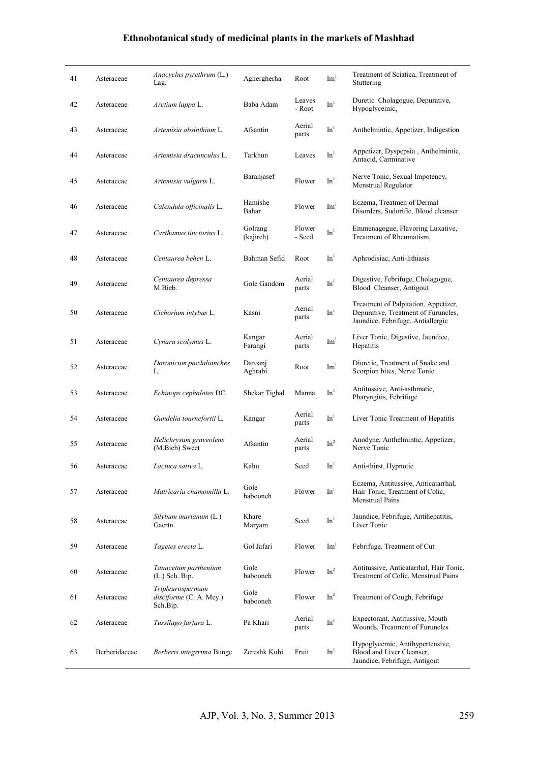| 41 | Asteraceae    | Anacyclus pyrethrum (L.)<br>Lag.                        | Aghergherha          | Root             | Im <sup>1</sup>              | Treatment of Sciatica, Treatment of<br>Stuttering                                                                |
|----|---------------|---------------------------------------------------------|----------------------|------------------|------------------------------|------------------------------------------------------------------------------------------------------------------|
| 42 | Asteraceae    | Arctium lappa L.                                        | Baba Adam            | Leaves<br>- Root | In <sup>1</sup>              | Duretic Cholagogue, Depurative,<br>Hypoglycemic,                                                                 |
| 43 | Asteraceae    | Artemisia absinthium L.                                 | Afsantin             | Aerial<br>parts  | In <sup>1</sup>              | Anthelmintic, Appetizer, Indigestion                                                                             |
| 44 | Asteraceae    | Artemisia dracunculus L.                                | Tarkhun              | Leaves           | In <sup>1</sup>              | Appetizer, Dyspepsia, Anthelmintic,<br>Antacid, Carminative                                                      |
| 45 | Asteraceae    | Artemisia vulgaris L.                                   | Baranjasef           | Flower           | In <sup>1</sup>              | Nerve Tonic, Sexual Impotency,<br>Menstrual Regulator                                                            |
| 46 | Asteraceae    | Calendula officinalis L.                                | Hamishe<br>Bahar     | Flower           | Im <sup>1</sup>              | Eczema, Treatmen of Dermal<br>Disorders, Sudorific, Blood cleanser                                               |
| 47 | Asteraceae    | Carthamus tinctorius L.                                 | Golrang<br>(kajireh) | Flower<br>- Seed | $\mathop{\rm Im}\nolimits^1$ | Emmenagogue, Flavoring Luxative,<br>Treatment of Rheumatism,                                                     |
| 48 | Asteraceae    | Centaurea behen L.                                      | Bahman Sefid         | Root             | In <sup>1</sup>              | Aphrodisiac, Anti-lithiasis                                                                                      |
| 49 | Asteraceae    | Centaurea depressa<br>M.Bieb.                           | Gole Gandom          | Aerial<br>parts  | In <sup>1</sup>              | Digestive, Febrifuge, Cholagogue,<br>Blood Cleanser, Antigout                                                    |
| 50 | Asteraceae    | Cichorium intybus L.                                    | Kasni                | Aerial<br>parts  | In <sup>1</sup>              | Treatment of Palpitation, Appetizer,<br>Depurative, Treatment of Furuncles,<br>Jaundice, Febrifuge, Antiallergic |
| 51 | Asteraceae    | Cynara scolymus L.                                      | Kangar<br>Farangi    | Aerial<br>parts  | Im <sup>1</sup>              | Liver Tonic, Digestive, Jaundice,<br>Hepatitis                                                                   |
| 52 | Asteraceae    | Doronicum pardalianches<br>L.                           | Daroanj<br>Aghrabi   | Root             | $\mathrm{Im}^1$              | Diuretic, Treatment of Snake and<br>Scorpion bites, Nerve Tonic                                                  |
| 53 | Asteraceae    | Echinops cephalotes DC.                                 | Shekar Tighal        | Manna            | In <sup>1</sup>              | Antitussive, Anti-asthmatic,<br>Pharyngitis, Febrifuge                                                           |
| 54 | Asteraceae    | Gundelia tournefortii L.                                | Kangar               | Aerial<br>parts  | In <sup>1</sup>              | Liver Tonic Treatment of Hepatitis                                                                               |
| 55 | Asteraceae    | Helichrysum graveolens<br>(M.Bieb) Sweet                | Afsantin             | Aerial<br>parts  | $\mbox{In}^2$                | Anodyne, Anthelmintic, Appetizer,<br>Nerve Tonic                                                                 |
| 56 | Asteraceae    | Lactuca sativa L.                                       | Kahu                 | Seed             | In <sup>1</sup>              | Anti-thirst, Hypnotic                                                                                            |
| 57 | Asteraceae    | Matricaria chamomilla L.                                | Gole<br>babooneh     | Flower           | In <sup>1</sup>              | Eczema, Antitussive, Anticatarrhal,<br>Hair Tonic, Treatment of Colic,<br>Menstrual Pains                        |
| 58 | Asteraceae    | Silybum marianum (L.)<br>Gaertn.                        | Khare<br>Maryam      | Seed             | $\mathrm{In}^1$              | Jaundice, Febrifuge, Antihepatitis,<br>Liver Tonic                                                               |
| 59 | Asteraceae    | Tagetes erecta L.                                       | Gol Jafari           | Flower           | Im <sup>1</sup>              | Febrifuge, Treatment of Cut                                                                                      |
| 60 | Asteraceae    | Tanacetum parthenium<br>$(L.)$ Sch. Bip.                | Gole<br>babooneh     | Flower           | In <sup>2</sup>              | Antitussive, Anticatarrhal, Hair Tonic,<br>Treatment of Colic, Menstrual Pains                                   |
| 61 | Asteraceae    | Tripleurospermum<br>disciforme (C. A. Mey.)<br>Sch.Bip. | Gole<br>babooneh     | Flower           | In <sup>2</sup>              | Treatment of Cough, Febrifuge                                                                                    |
| 62 | Asteraceae    | Tussilago farfara L.                                    | Pa Khari             | Aerial<br>parts  | $\mathop{\rm In}\nolimits^1$ | Expectorant, Antitussive, Mouth<br>Wounds, Treatment of Furuncles                                                |
| 63 | Berberidaceae | Berberis integrrima Bunge                               | Zereshk Kuhi         | Fruit            | In <sup>1</sup>              | Hypoglycemic, Antihypertensive,<br>Blood and Liver Cleanser,<br>Jaundice, Febrifuge, Antigout                    |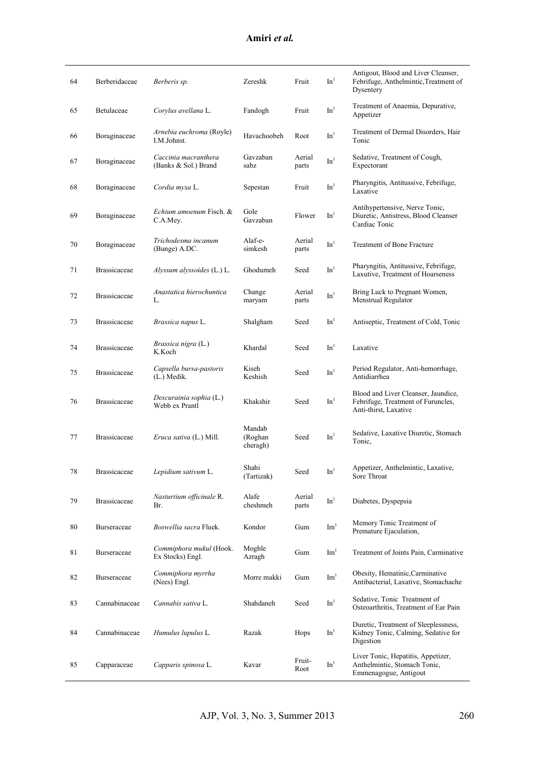#### **Amiri** *et al.*

| 64 | Berberidaceae       | Berberis sp.                                 | Zereshk                       | Fruit           | In <sup>1</sup>              | Antigout, Blood and Liver Cleanser,<br>Febrifuge, Anthelmintic, Treatment of<br>Dysentery          |
|----|---------------------|----------------------------------------------|-------------------------------|-----------------|------------------------------|----------------------------------------------------------------------------------------------------|
| 65 | Betulaceae          | Corylus avellana L.                          | Fandogh                       | Fruit           | In <sup>1</sup>              | Treatment of Anaemia, Depurative,<br>Appetizer                                                     |
| 66 | Boraginaceae        | Arnebia euchroma (Royle)<br>I.M.Johnst.      | Havachoobeh                   | Root            | In <sup>1</sup>              | Treatment of Dermal Disorders, Hair<br>Tonic                                                       |
| 67 | Boraginaceae        | Caccinia macranthera<br>(Banks & Sol.) Brand | Gavzaban<br>sabz              | Aerial<br>parts | In <sup>1</sup>              | Sedative, Treatment of Cough,<br>Expectorant                                                       |
| 68 | Boraginaceae        | Cordia myxa L.                               | Sepestan                      | Fruit           | In <sup>1</sup>              | Pharyngitis, Antitussive, Febrifuge,<br>Laxative                                                   |
| 69 | Boraginaceae        | Echium amoenum Fisch. &<br>C.A.Mey.          | Gole<br>Gavzaban              | Flower          | In <sup>1</sup>              | Antihypertensive, Nerve Tonic,<br>Diuretic, Antistress, Blood Cleanser<br>Cardiac Tonic            |
| 70 | Boraginaceae        | Trichodesma incanum<br>(Bunge) A.DC.         | Alaf-e-<br>simkesh            | Aerial<br>parts | In <sup>1</sup>              | Treatment of Bone Fracture                                                                         |
| 71 | <b>Brassicaceae</b> | Alyssum alyssoides (L.) L.                   | Ghodumeh                      | Seed            | In <sup>1</sup>              | Pharyngitis, Antitussive, Febrifuge,<br>Laxutive, Treatment of Hoarseness                          |
| 72 | <b>Brassicaceae</b> | Anastatica hierochuntica<br>L.               | Change<br>maryam              | Aerial<br>parts | $\mathop{\rm In}\nolimits^1$ | Bring Luck to Pregnant Women,<br><b>Menstrual Regulator</b>                                        |
| 73 | <b>Brassicaceae</b> | Brassica napus L.                            | Shalgham                      | Seed            | In <sup>1</sup>              | Antiseptic, Treatment of Cold, Tonic                                                               |
| 74 | <b>Brassicaceae</b> | Brassica nigra (L.)<br>K.Koch                | Khardal                       | Seed            | In <sup>1</sup>              | Laxative                                                                                           |
| 75 | <b>Brassicaceae</b> | Capsella bursa-pastoris<br>$(L.)$ Medik.     | Kiseh<br>Keshish              | Seed            | In <sup>1</sup>              | Period Regulator, Anti-hemorrhage,<br>Antidiarrhea                                                 |
| 76 | <b>Brassicaceae</b> | Descurainia sophia (L.)<br>Webb ex Prantl    | Khakshir                      | Seed            | In <sup>1</sup>              | Blood and Liver Cleanser, Jaundice,<br>Febrifuge, Treatment of Furuncles,<br>Anti-thirst, Laxative |
| 77 | <b>Brassicaceae</b> | <i>Eruca sativa</i> (L.) Mill.               | Mandab<br>(Roghan<br>cheragh) | Seed            | In <sup>1</sup>              | Sedative, Laxative Diuretic, Stomach<br>Tonic,                                                     |
| 78 | <b>Brassicaceae</b> | Lepidium sativum L.                          | Shahi<br>(Tartizak)           | Seed            | In <sup>1</sup>              | Appetizer, Anthelmintic, Laxative,<br>Sore Throat                                                  |
| 79 | <b>Brassicaceae</b> | Nasturtium officinale R.<br>Br.              | Alafe<br>cheshmeh             | Aerial<br>parts | In <sup>1</sup>              | Diabetes, Dyspepsia                                                                                |
| 80 | <b>Burseraceae</b>  | Boswellia sacra Fluek.                       | Kondor                        | Gum             | Im <sup>1</sup>              | Memory Tonic Treatment of<br>Premature Ejaculation,                                                |
| 81 | Burseraceae         | Commiphora mukul (Hook.<br>Ex Stocks) Engl.  | Moghle<br>Azragh              | Gum             | $\text{Im}^1$                | Treatment of Joints Pain, Carminative                                                              |
| 82 | Burseraceae         | Commiphora myrrha<br>(Nees) Engl.            | Morre makki                   | Gum             | Im <sup>1</sup>              | Obesity, Hematinic, Carminative<br>Antibacterial, Laxative, Stomachache                            |
| 83 | Cannabinaceae       | Cannabis sativa L.                           | Shahdaneh                     | Seed            | $\mathbf{In}^1$              | Sedative, Tonic Treatment of<br>Osteoarthritis, Treatment of Ear Pain                              |
| 84 | Cannabinaceae       | Humulus lupulus L.                           | Razak                         | Hops            | In <sup>1</sup>              | Duretic, Treatment of Sleeplessness,<br>Kidney Tonic, Calming, Sedative for<br>Digestion           |
| 85 | Capparaceae         | Capparis spinosa L.                          | Kavar                         | Fruit-<br>Root  | $\mathop{\rm In}\nolimits^1$ | Liver Tonic, Hepatitis, Appetizer,<br>Anthelmintic, Stomach Tonic,<br>Emmenagogue, Antigout        |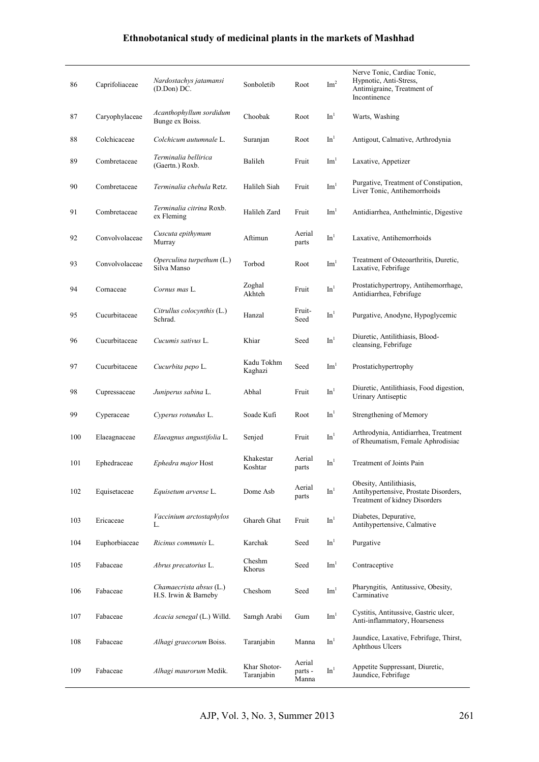| 86  | Caprifoliaceae | Nardostachys jatamansi<br>(D.Don) DC.           | Sonboletib                 | Root                       | Im <sup>2</sup> | Nerve Tonic, Cardiac Tonic,<br>Hypnotic, Anti-Stress,<br>Antimigraine, Treatment of<br>Incontinence |
|-----|----------------|-------------------------------------------------|----------------------------|----------------------------|-----------------|-----------------------------------------------------------------------------------------------------|
| 87  | Caryophylaceae | Acanthophyllum sordidum<br>Bunge ex Boiss.      | Choobak                    | Root                       | In <sup>1</sup> | Warts, Washing                                                                                      |
| 88  | Colchicaceae   | Colchicum autumnale L.                          | Suranjan                   | Root                       | In <sup>1</sup> | Antigout, Calmative, Arthrodynia                                                                    |
| 89  | Combretaceae   | Terminalia bellirica<br>(Gaertn.) Roxb.         | Balileh                    | Fruit                      | Im <sup>1</sup> | Laxative, Appetizer                                                                                 |
| 90  | Combretaceae   | Terminalia chebula Retz.                        | Halileh Siah               | Fruit                      | Im <sup>1</sup> | Purgative, Treatment of Constipation,<br>Liver Tonic, Antihemorrhoids                               |
| 91  | Combretaceae   | Terminalia citrina Roxb.<br>ex Fleming          | Halileh Zard               | Fruit                      | $\mathrm{Im}^1$ | Antidiarrhea, Anthelmintic, Digestive                                                               |
| 92  | Convolvolaceae | Cuscuta epithymum<br>Murray                     | Aftimun                    | Aerial<br>parts            | In <sup>1</sup> | Laxative, Antihemorrhoids                                                                           |
| 93  | Convolvolaceae | Operculina turpethum (L.)<br>Silva Manso        | Torbod                     | Root                       | Im <sup>1</sup> | Treatment of Osteoarthritis, Duretic,<br>Laxative, Febrifuge                                        |
| 94  | Cornaceae      | Cornus mas L.                                   | Zoghal<br>Akhteh           | Fruit                      | In <sup>1</sup> | Prostatichypertropy, Antihemorrhage,<br>Antidiarrhea, Febrifuge                                     |
| 95  | Cucurbitaceae  | Citrullus colocynthis (L.)<br>Schrad.           | Hanzal                     | Fruit-<br>Seed             | In <sup>1</sup> | Purgative, Anodyne, Hypoglycemic                                                                    |
| 96  | Cucurbitaceae  | Cucumis sativus L.                              | Khiar                      | Seed                       | In <sup>1</sup> | Diuretic, Antilithiasis, Blood-<br>cleansing, Febrifuge                                             |
| 97  | Cucurbitaceae  | Cucurbita pepo L.                               | Kadu Tokhm<br>Kaghazi      | Seed                       | $\text{Im}^1$   | Prostatichypertrophy                                                                                |
| 98  | Cupressaceae   | Juniperus sabina L.                             | Abhal                      | Fruit                      | In <sup>1</sup> | Diuretic, Antilithiasis, Food digestion,<br>Urinary Antiseptic                                      |
| 99  | Cyperaceae     | Cyperus rotundus L.                             | Soade Kufi                 | Root                       | In <sup>1</sup> | Strengthening of Memory                                                                             |
| 100 | Elaeagnaceae   | Elaeagnus angustifolia L.                       | Senjed                     | Fruit                      | In <sup>1</sup> | Arthrodynia, Antidiarrhea, Treatment<br>of Rheumatism, Female Aphrodisiac                           |
| 101 | Ephedraceae    | <i>Ephedra major</i> Host                       | Khakestar<br>Koshtar       | Aerial<br>parts            | In <sup>1</sup> | Treatment of Joints Pain                                                                            |
| 102 | Equisetaceae   | Equisetum arvense L.                            | Dome Asb                   | Aerial<br>parts            | In <sup>1</sup> | Obesity, Antilithiasis,<br>Antihypertensive, Prostate Disorders,<br>Treatment of kidney Disorders   |
| 103 | Ericaceae      | Vaccinium arctostaphylos<br>L.                  | Ghareh Ghat                | Fruit                      | $\mathbf{In}^1$ | Diabetes, Depurative,<br>Antihypertensive, Calmative                                                |
| 104 | Euphorbiaceae  | <i>Ricinus communis</i> L.                      | Karchak                    | Seed                       | In <sup>1</sup> | Purgative                                                                                           |
| 105 | Fabaceae       | Abrus precatorius L.                            | Cheshm<br>Khorus           | Seed                       | Im <sup>1</sup> | Contraceptive                                                                                       |
| 106 | Fabaceae       | Chamaecrista absus (L.)<br>H.S. Irwin & Barneby | Cheshom                    | Seed                       | $\mathrm{Im}^1$ | Pharyngitis, Antitussive, Obesity,<br>Carminative                                                   |
| 107 | Fabaceae       | Acacia senegal (L.) Willd.                      | Samgh Arabi                | Gum                        | Im <sup>1</sup> | Cystitis, Antitussive, Gastric ulcer,<br>Anti-inflammatory, Hoarseness                              |
| 108 | Fabaceae       | Alhagi graecorum Boiss.                         | Taranjabin                 | Manna                      | $\mathrm{In}^1$ | Jaundice, Laxative, Febrifuge, Thirst,<br>Aphthous Ulcers                                           |
| 109 | Fabaceae       | Alhagi maurorum Medik.                          | Khar Shotor-<br>Taranjabin | Aerial<br>parts -<br>Manna | In <sup>1</sup> | Appetite Suppressant, Diuretic,<br>Jaundice, Febrifuge                                              |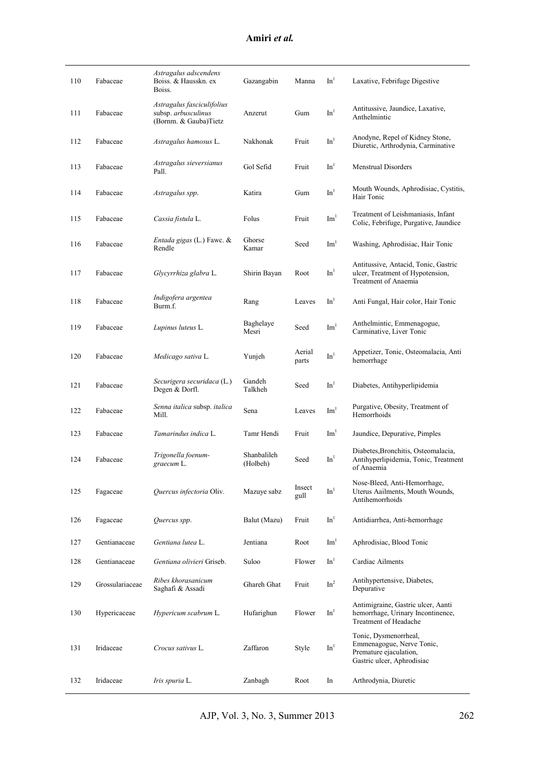| 110 | Fabaceae        | Astragalus adscendens<br>Boiss. & Hausskn. ex<br>Boiss.                    | Gazangabin              | Manna           | In <sup>1</sup> | Laxative, Febrifuge Digestive                                                                              |
|-----|-----------------|----------------------------------------------------------------------------|-------------------------|-----------------|-----------------|------------------------------------------------------------------------------------------------------------|
| 111 | Fabaceae        | Astragalus fasciculifolius<br>subsp. arbusculinus<br>(Bornm. & Gauba)Tietz | Anzerut                 | Gum             | In <sup>1</sup> | Antitussive, Jaundice, Laxative,<br>Anthelmintic                                                           |
| 112 | Fabaceae        | Astragalus hamosus L.                                                      | Nakhonak                | Fruit           | In <sup>1</sup> | Anodyne, Repel of Kidney Stone,<br>Diuretic, Arthrodynia, Carminative                                      |
| 113 | Fabaceae        | Astragalus sieversianus<br>Pall.                                           | Gol Sefid               | Fruit           | In <sup>1</sup> | <b>Menstrual Disorders</b>                                                                                 |
| 114 | Fabaceae        | Astragalus spp.                                                            | Katira                  | Gum             | In <sup>1</sup> | Mouth Wounds, Aphrodisiac, Cystitis,<br>Hair Tonic                                                         |
| 115 | Fabaceae        | Cassia fistula L.                                                          | Folus                   | Fruit           | Im <sup>1</sup> | Treatment of Leishmaniasis, Infant<br>Colic, Febrifuge, Purgative, Jaundice                                |
| 116 | Fabaceae        | <i>Entada gigas</i> (L.) Fawc. &<br>Rendle                                 | Ghorse<br>Kamar         | Seed            | Im <sup>1</sup> | Washing, Aphrodisiac, Hair Tonic                                                                           |
| 117 | Fabaceae        | Glycyrrhiza glabra L.                                                      | Shirin Bayan            | Root            | $\mathrm{In}^1$ | Antitussive, Antacid, Tonic, Gastric<br>ulcer, Treatment of Hypotension,<br>Treatment of Anaemia           |
| 118 | Fabaceae        | Indigofera argentea<br>Burm.f.                                             | Rang                    | Leaves          | In <sup>1</sup> | Anti Fungal, Hair color, Hair Tonic                                                                        |
| 119 | Fabaceae        | Lupinus luteus L.                                                          | Baghelaye<br>Mesri      | Seed            | Im <sup>1</sup> | Anthelmintic, Emmenagogue,<br>Carminative, Liver Tonic                                                     |
| 120 | Fabaceae        | Medicago sativa L.                                                         | Yunjeh                  | Aerial<br>parts | In <sup>1</sup> | Appetizer, Tonic, Osteomalacia, Anti<br>hemorrhage                                                         |
| 121 | Fabaceae        | Securigera securidaca (L.)<br>Degen & Dorfl.                               | Gandeh<br>Talkheh       | Seed            | In <sup>1</sup> | Diabetes, Antihyperlipidemia                                                                               |
| 122 | Fabaceae        | Senna italica subsp. italica<br>Mill.                                      | Sena                    | Leaves          | Im <sup>1</sup> | Purgative, Obesity, Treatment of<br>Hemorrhoids                                                            |
| 123 | Fabaceae        | Tamarindus indica L.                                                       | Tamr Hendi              | Fruit           | $\text{Im}^1$   | Jaundice, Depurative, Pimples                                                                              |
| 124 | Fabaceae        | Trigonella foenum-<br>graecum L.                                           | Shanbalileh<br>(Holbeh) | Seed            | In <sup>1</sup> | Diabetes, Bronchitis, Osteomalacia,<br>Antihyperlipidemia, Tonic, Treatment<br>of Anaemia                  |
| 125 | Fagaceae        | Quercus infectoria Oliv.                                                   | Mazuye sabz             | Insect<br>gull  | In <sup>1</sup> | Nose-Bleed, Anti-Hemorrhage,<br>Uterus Aailments, Mouth Wounds,<br>Antihemorrhoids                         |
| 126 | Fagaceae        | Quercus spp.                                                               | Balut (Mazu)            | Fruit           | In <sup>1</sup> | Antidiarrhea, Anti-hemorrhage                                                                              |
| 127 | Gentianaceae    | Gentiana lutea L.                                                          | Jentiana                | Root            | Im <sup>1</sup> | Aphrodisiac, Blood Tonic                                                                                   |
| 128 | Gentianaceae    | Gentiana olivieri Griseb.                                                  | Suloo                   | Flower          | In <sup>1</sup> | Cardiac Ailments                                                                                           |
| 129 | Grossulariaceae | Ribes khorasanicum<br>Saghafi & Assadi                                     | Ghareh Ghat             | Fruit           | $\mbox{In}^2$   | Antihypertensive, Diabetes,<br>Depurative                                                                  |
| 130 | Hypericaceae    | Hypericum scabrum L.                                                       | Hufarighun              | Flower          | In <sup>1</sup> | Antimigraine, Gastric ulcer, Aanti<br>hemorrhage, Urinary Incontinence,<br>Treatment of Headache           |
| 131 | Iridaceae       | Crocus sativus L.                                                          | Zaffaron                | Style           | $\mathrm{In}^1$ | Tonic, Dysmenorrheal,<br>Emmenagogue, Nerve Tonic,<br>Premature ejaculation,<br>Gastric ulcer, Aphrodisiac |
| 132 | Iridaceae       | Iris spuria L.                                                             | Zanbagh                 | Root            | In              | Arthrodynia, Diuretic                                                                                      |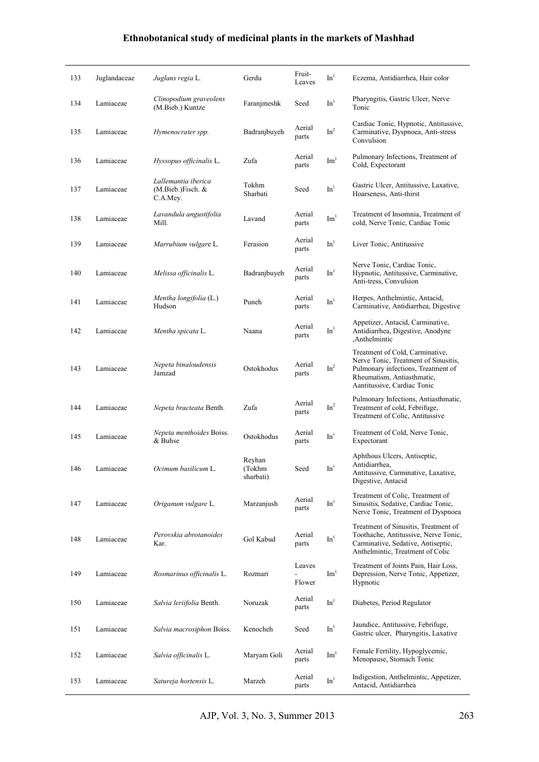| 133 | Juglandaceae | Juglans regia L.                                     | Gerdu                         | Fruit-<br>Leaves                             | In <sup>1</sup> | Eczema, Antidiarrhea, Hair color                                                                                                                                           |
|-----|--------------|------------------------------------------------------|-------------------------------|----------------------------------------------|-----------------|----------------------------------------------------------------------------------------------------------------------------------------------------------------------------|
| 134 | Lamiaceae    | Clinopodium graveolens<br>(M.Bieb.) Kuntze           | Faranjmeshk                   | Seed                                         | In <sup>1</sup> | Pharyngitis, Gastric Ulcer, Nerve<br>Tonic                                                                                                                                 |
| 135 | Lamiaceae    | Hymenocrater spp.                                    | Badranjbuyeh                  | Aerial<br>parts                              | $\mbox{In}^2$   | Cardiac Tonic, Hypnotic, Antitussive,<br>Carminative, Dyspnoea, Anti-stress<br>Convulsion                                                                                  |
| 136 | Lamiaceae    | Hyssopus officinalis L.                              | Zufa                          | Aerial<br>parts                              | Im <sup>1</sup> | Pulmonary Infections, Treatment of<br>Cold, Expectorant                                                                                                                    |
| 137 | Lamiaceae    | Lallemantia iberica<br>(M.Bieb.)Fisch. &<br>C.A.Mey. | Tokhm<br>Sharbati             | Seed                                         | In <sup>1</sup> | Gastric Ulcer, Antitussive, Laxative,<br>Hoarseness, Anti-thirst                                                                                                           |
| 138 | Lamiaceae    | Lavandula angustifolia<br>Mill.                      | Lavand                        | Aerial<br>parts                              | $\mathrm{Im}^1$ | Treatment of Insomnia, Treatment of<br>cold, Nerve Tonic, Cardiac Tonic                                                                                                    |
| 139 | Lamiaceae    | Marrubium vulgare L.                                 | Ferasion                      | Aerial<br>parts                              | In <sup>1</sup> | Liver Tonic, Antitussive                                                                                                                                                   |
| 140 | Lamiaceae    | <i>Melissa officinalis</i> L.                        | Badranjbuyeh                  | Aerial<br>parts                              | In <sup>1</sup> | Nerve Tonic, Cardiac Tonic,<br>Hypnotic, Antitussive, Carminative,<br>Anti-tress, Convulsion                                                                               |
| 141 | Lamiaceae    | Mentha longifolia (L.)<br>Hudson                     | Puneh                         | Aerial<br>parts                              | In <sup>1</sup> | Herpes, Anthelmintic, Antacid,<br>Carminative, Antidiarrhea, Digestive                                                                                                     |
| 142 | Lamiaceae    | Mentha spicata L.                                    | Naana                         | Aerial<br>parts                              | In <sup>1</sup> | Appetizer, Antacid, Carminative,<br>Antidiarrhea, Digestive, Anodyne<br>,Anthelmintic                                                                                      |
| 143 | Lamiaceae    | Nepeta binaloudensis<br>Jamzad                       | Ostokhodus                    | Aerial<br>parts                              | In <sup>2</sup> | Treatment of Cold, Carminative,<br>Nerve Tonic, Treatment of Sinusitis,<br>Pulmonary infections, Treatment of<br>Rheumatism, Antiasthmatic,<br>Aantitussive, Cardiac Tonic |
| 144 | Lamiaceae    | Nepeta bracteata Benth.                              | Zufa                          | Aerial<br>parts                              | In <sup>2</sup> | Pulmonary Infections, Antiasthmatic,<br>Treatment of cold, Febrifuge,<br>Treatment of Colic, Antitussive                                                                   |
| 145 | Lamiaceae    | Nepeta menthoides Boiss.<br>& Buhse                  | Ostokhodus                    | Aerial<br>parts                              | In <sup>1</sup> | Treatment of Cold, Nerve Tonic,<br>Expectorant                                                                                                                             |
| 146 | Lamiaceae    | Ocimum basilicum L.                                  | Reyhan<br>(Tokhm<br>sharbati) | Seed                                         | In <sup>1</sup> | Aphthous Ulcers, Antiseptic,<br>Antidiarrhea,<br>Antitussive, Carminative, Laxative,<br>Digestive, Antacid                                                                 |
| 147 | Lamiaceae    | Origanum vulgare L.                                  | Marzanjush                    | Aerial<br>parts                              | In <sup>1</sup> | Treatment of Colic, Treatment of<br>Sinusitis, Sedative, Cardiac Tonic,<br>Nerve Tonic, Treatment of Dyspnoea                                                              |
| 148 | Lamiaceae    | Perovskia abrotanoides<br>Kar.                       | Gol Kabud                     | Aerial<br>parts                              | In <sup>1</sup> | Treatment of Sinusitis, Treatment of<br>Toothache, Antitussive, Nerve Tonic,<br>Carminative, Sedative, Antiseptic,<br>Anthelmintic, Treatment of Colic                     |
| 149 | Lamiaceae    | Rosmarinus officinalis L.                            | Rozmari                       | Leaves<br>$\overline{\phantom{a}}$<br>Flower | Im <sup>1</sup> | Treatment of Joints Pain, Hair Loss,<br>Depression, Nerve Tonic, Appetizer,<br>Hypnotic                                                                                    |
| 150 | Lamiaceae    | <i>Salvia leriifolia</i> Benth.                      | Noruzak                       | Aerial<br>parts                              | In <sup>1</sup> | Diabetes, Period Regulator                                                                                                                                                 |
| 151 | Lamiaceae    | Salvia macrosiphon Boiss.                            | Kenocheh                      | Seed                                         | In <sup>1</sup> | Jaundice, Antitussive, Febrifuge,<br>Gastric ulcer, Pharyngitis, Laxative                                                                                                  |
| 152 | Lamiaceae    | Salvia officinalis L.                                | Maryam Goli                   | Aerial<br>parts                              | Im <sup>1</sup> | Female Fertility, Hypoglycemic,<br>Menopause, Stomach Tonic                                                                                                                |
| 153 | Lamiaceae    | Satureja hortensis L.                                | Marzeh                        | Aerial<br>parts                              | In <sup>1</sup> | Indigestion, Anthelmintic, Appetizer,<br>Antacid, Antidiarrhea                                                                                                             |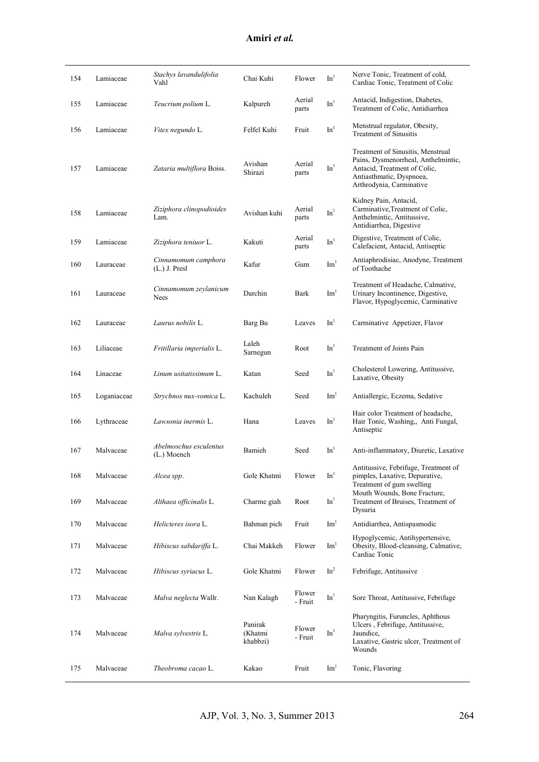| 154 | Lamiaceae   | Stachys lavandulifolia<br>Vahl         | Chai Kuhi                      | Flower            | In <sup>1</sup> | Nerve Tonic, Treatment of cold,<br>Cardiac Tonic, Treatment of Colic                                                                                             |
|-----|-------------|----------------------------------------|--------------------------------|-------------------|-----------------|------------------------------------------------------------------------------------------------------------------------------------------------------------------|
| 155 | Lamiaceae   | Teucrium polium L.                     | Kalpureh                       | Aerial<br>parts   | In <sup>1</sup> | Antacid, Indigestion, Diabetes,<br>Treatment of Colic, Antidiarrhea                                                                                              |
| 156 | Lamiaceae   | Vitex negundo L.                       | Felfel Kuhi                    | Fruit             | In <sup>1</sup> | Menstrual regulator, Obesity,<br><b>Treatment of Sinusitis</b>                                                                                                   |
| 157 | Lamiaceae   | Zataria multiflora Boiss.              | Avishan<br>Shirazi             | Aerial<br>parts   | In <sup>1</sup> | Treatment of Sinusitis, Menstrual<br>Pains, Dysmenorrheal, Anthelmintic,<br>Antacid, Treatment of Colic,<br>Antiasthmatic, Dyspnoea,<br>Arthrodynia, Carminative |
| 158 | Lamiaceae   | Ziziphora clinopodioides<br>Lam.       | Avishan kuhi                   | Aerial<br>parts   | In <sup>1</sup> | Kidney Pain, Antacid,<br>Carminative, Treatment of Colic,<br>Anthelmintic, Antitussive,<br>Antidiarrhea, Digestive                                               |
| 159 | Lamiaceae   | Ziziphora teniuor L.                   | Kakuti                         | Aerial<br>parts   | In <sup>1</sup> | Digestive, Treatment of Colic,<br>Calefacient, Antacid, Antiseptic                                                                                               |
| 160 | Lauraceae   | Cinnamomum camphora<br>$(L.)$ J. Presl | Kafur                          | Gum               | Im <sup>1</sup> | Antiaphrodisiac, Anodyne, Treatment<br>of Toothache                                                                                                              |
| 161 | Lauraceae   | Cinnamomum zeylanicum<br>Nees          | Darchin                        | Bark              | Im <sup>1</sup> | Treatment of Headache, Calmative,<br>Urinary Incontinence, Digestive,<br>Flavor, Hypoglycemic, Carminative                                                       |
| 162 | Lauraceae   | Laurus nobilis L.                      | Barg Bu                        | Leaves            | In <sup>1</sup> | Carminative Appetizer, Flavor                                                                                                                                    |
| 163 | Liliaceae   | Fritillaria imperialis L.              | Laleh<br>Sarnegun              | Root              | In <sup>1</sup> | Treatment of Joints Pain                                                                                                                                         |
| 164 | Linaceae    | Linum usitatissimum L.                 | Katan                          | Seed              | $\mathbf{In}^1$ | Cholesterol Lowering, Antitussive,<br>Laxative, Obesity                                                                                                          |
| 165 | Loganiaceae | Strychnos nux-vomica L.                | Kachuleh                       | Seed              | $\mathrm{Im}^1$ | Antiallergic, Eczema, Sedative                                                                                                                                   |
| 166 | Lythraceae  | Lawsonia inermis L.                    | Hana                           | Leaves            | In <sup>1</sup> | Hair color Treatment of headache,<br>Hair Tonic, Washing,, Anti Fungal,<br>Antiseptic                                                                            |
| 167 | Malvaceae   | Abelmoschus esculentus<br>(L.) Moench  | Bamieh                         | Seed              | In <sup>1</sup> | Anti-inflammatory, Diuretic, Laxative                                                                                                                            |
| 168 | Malvaceae   | Alcea spp.                             | Gole Khatmi                    | Flower            | In <sup>1</sup> | Antitussive, Febrifuge, Treatment of<br>pimples, Laxative, Depurative,<br>Treatment of gum swelling                                                              |
| 169 | Malvaceae   | Althaea officinalis L.                 | Charme giah                    | Root              | In <sup>1</sup> | Mouth Wounds, Bone Fracture,<br>Treatment of Bruises, Treatment of<br>Dysuria                                                                                    |
| 170 | Malvaceae   | Helicteres isora L.                    | Bahman pich                    | Fruit             | Im <sup>1</sup> | Antidiarrhea, Antispasmodic                                                                                                                                      |
| 171 | Malvaceae   | Hibiscus sabdariffa L.                 | Chai Makkeh                    | Flower            | Im <sup>1</sup> | Hypoglycemic, Antihypertensive,<br>Obesity, Blood-cleansing, Calmative,<br>Cardiac Tonic                                                                         |
| 172 | Malvaceae   | Hibiscus syriacus L.                   | Gole Khatmi                    | Flower            | In <sup>2</sup> | Febrifuge, Antitussive                                                                                                                                           |
| 173 | Malvaceae   | Malva neglecta Wallr.                  | Nan Kalagh                     | Flower<br>- Fruit | In <sup>1</sup> | Sore Throat, Antitussive, Febrifuge                                                                                                                              |
| 174 | Malvaceae   | Malva sylvestris L.                    | Panirak<br>(Khatmi<br>khabbzi) | Flower<br>- Fruit | In <sup>1</sup> | Pharyngitis, Furuncles, Aphthous<br>Ulcers, Febrifuge, Antitussive,<br>Jaundice,<br>Laxative, Gastric ulcer, Treatment of<br>Wounds                              |
| 175 | Malvaceae   | Theobroma cacao L.                     | Kakao                          | Fruit             | $\mathrm{Im}^1$ | Tonic, Flavoring                                                                                                                                                 |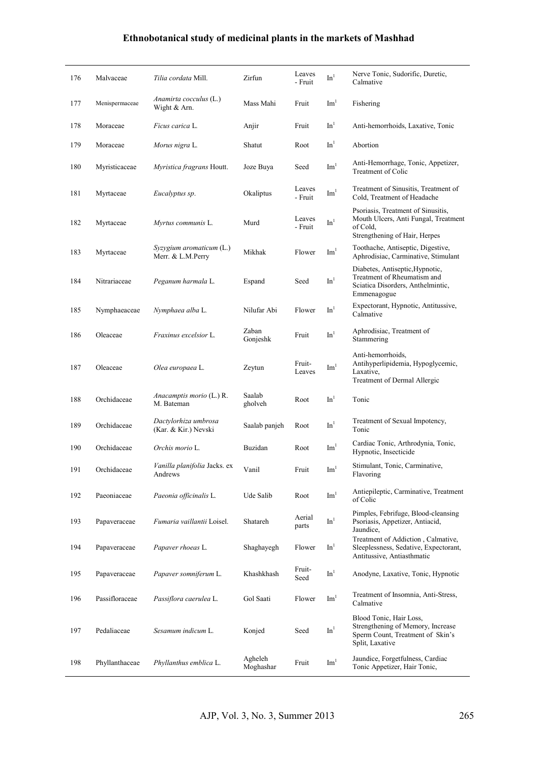| 176 | Malvaceae      | Tilia cordata Mill.                           | Zirfun               | Leaves<br>- Fruit      | $\mathrm{In}^1$ | Nerve Tonic, Sudorific, Duretic,<br>Calmative                                                                           |
|-----|----------------|-----------------------------------------------|----------------------|------------------------|-----------------|-------------------------------------------------------------------------------------------------------------------------|
| 177 | Menispermaceae | Anamirta cocculus (L.)<br>Wight & Arn.        | Mass Mahi            | Fruit                  | Im <sup>1</sup> | Fishering                                                                                                               |
| 178 | Moraceae       | Ficus carica L.                               | Anjir                | Fruit                  | In <sup>1</sup> | Anti-hemorrhoids, Laxative, Tonic                                                                                       |
| 179 | Moraceae       | Morus nigra L.                                | Shatut               | Root                   | In <sup>1</sup> | Abortion                                                                                                                |
| 180 | Myristicaceae  | Myristica fragrans Houtt.                     | Joze Buya            | Seed                   | Im <sup>1</sup> | Anti-Hemorrhage, Tonic, Appetizer,<br>Treatment of Colic                                                                |
| 181 | Myrtaceae      | Eucalyptus sp.                                | Okaliptus            | Leaves<br>- Fruit      | Im <sup>1</sup> | Treatment of Sinusitis, Treatment of<br>Cold, Treatment of Headache                                                     |
| 182 | Myrtaceae      | Myrtus communis L.                            | Murd                 | Leaves<br>- Fruit      | In <sup>1</sup> | Psoriasis, Treatment of Sinusitis,<br>Mouth Ulcers, Anti Fungal, Treatment<br>of Cold,<br>Strengthening of Hair, Herpes |
| 183 | Myrtaceae      | Syzygium aromaticum (L.)<br>Merr. & L.M.Perry | Mikhak               | Flower                 | Im <sup>1</sup> | Toothache, Antiseptic, Digestive,<br>Aphrodisiac, Carminative, Stimulant                                                |
| 184 | Nitrariaceae   | Peganum harmala L.                            | Espand               | Seed                   | In <sup>1</sup> | Diabetes, Antiseptic, Hypnotic,<br>Treatment of Rheumatism and<br>Sciatica Disorders, Anthelmintic,<br>Emmenagogue      |
| 185 | Nymphaeaceae   | Nymphaea alba L.                              | Nilufar Abi          | Flower                 | In <sup>1</sup> | Expectorant, Hypnotic, Antitussive,<br>Calmative                                                                        |
| 186 | Oleaceae       | <i>Fraxinus excelsior L.</i>                  | Zaban<br>Gonjeshk    | Fruit                  | In <sup>1</sup> | Aphrodisiac, Treatment of<br>Stammering                                                                                 |
| 187 | Oleaceae       | Olea europaea L.                              | Zeytun               | Fruit-<br>Leaves       | Im <sup>1</sup> | Anti-hemorrhoids,<br>Antihyperlipidemia, Hypoglycemic,<br>Laxative,<br>Treatment of Dermal Allergic                     |
| 188 | Orchidaceae    | Anacamptis morio (L.) R.<br>M. Bateman        | Saalab<br>gholveh    | Root                   | In <sup>1</sup> | Tonic                                                                                                                   |
| 189 | Orchidaceae    | Dactylorhiza umbrosa<br>(Kar. & Kir.) Nevski  | Saalab panjeh        | Root                   | In <sup>1</sup> | Treatment of Sexual Impotency,<br>Tonic                                                                                 |
| 190 | Orchidaceae    | Orchis morio L.                               | Buzidan              | Root                   | $\mathrm{Im}^1$ | Cardiac Tonic, Arthrodynia, Tonic,<br>Hypnotic, Insecticide                                                             |
| 191 | Orchidaceae    | Vanilla planifolia Jacks. ex<br>Andrews       | Vanil                | $\operatorname{Fruit}$ | Im <sup>1</sup> | Stimulant, Tonic, Carminative,<br>Flavoring                                                                             |
| 192 | Paeoniaceae    | Paeonia officinalis L.                        | Ude Salib            | Root                   | Im <sup>1</sup> | Antiepileptic, Carminative, Treatment<br>of Colic                                                                       |
| 193 | Papaveraceae   | Fumaria vaillantii Loisel.                    | Shatareh             | Aerial<br>parts        | $\mathrm{In}^1$ | Pimples, Febrifuge, Blood-cleansing<br>Psoriasis, Appetizer, Antiacid,<br>Jaundice,                                     |
| 194 | Papaveraceae   | Papaver rhoeas L.                             | Shaghayegh           | Flower                 | In <sup>1</sup> | Treatment of Addiction, Calmative,<br>Sleeplessness, Sedative, Expectorant,<br>Antitussive, Antiasthmatic               |
| 195 | Papaveraceae   | Papaver somniferum L.                         | Khashkhash           | Fruit-<br>Seed         | In <sup>1</sup> | Anodyne, Laxative, Tonic, Hypnotic                                                                                      |
| 196 | Passifloraceae | Passiflora caerulea L.                        | Gol Saati            | Flower                 | Im <sup>1</sup> | Treatment of Insomnia, Anti-Stress,<br>Calmative                                                                        |
| 197 | Pedaliaceae    | Sesamum indicum L.                            | Konjed               | Seed                   | In <sup>1</sup> | Blood Tonic, Hair Loss,<br>Strengthening of Memory, Increase<br>Sperm Count, Treatment of Skin's<br>Split, Laxative     |
| 198 | Phyllanthaceae | Phyllanthus emblica L.                        | Agheleh<br>Moghashar | Fruit                  | Im <sup>1</sup> | Jaundice, Forgetfulness, Cardiac<br>Tonic Appetizer, Hair Tonic,                                                        |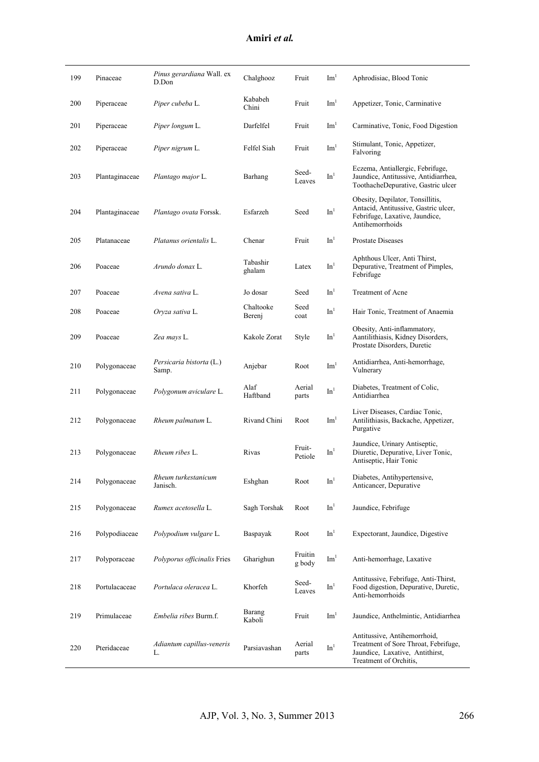| 199 | Pinaceae       | Pinus gerardiana Wall. ex<br>D.Don | Chalghooz           | Fruit             | $\mathrm{Im}^1$ | Aphrodisiac, Blood Tonic                                                                                                          |
|-----|----------------|------------------------------------|---------------------|-------------------|-----------------|-----------------------------------------------------------------------------------------------------------------------------------|
| 200 | Piperaceae     | Piper cubeba L.                    | Kababeh<br>Chini    | Fruit             | Im <sup>1</sup> | Appetizer, Tonic, Carminative                                                                                                     |
| 201 | Piperaceae     | Piper longum L.                    | Darfelfel           | Fruit             | Im <sup>1</sup> | Carminative, Tonic, Food Digestion                                                                                                |
| 202 | Piperaceae     | Piper nigrum L.                    | Felfel Siah         | Fruit             | Im <sup>1</sup> | Stimulant, Tonic, Appetizer,<br>Falvoring                                                                                         |
| 203 | Plantaginaceae | Plantago major L.                  | Barhang             | Seed-<br>Leaves   | In <sup>1</sup> | Eczema, Antiallergic, Febrifuge,<br>Jaundice, Antitussive, Antidiarrhea,<br>ToothacheDepurative, Gastric ulcer                    |
| 204 | Plantaginaceae | Plantago ovata Forssk.             | Esfarzeh            | Seed              | In <sup>1</sup> | Obesity, Depilator, Tonsillitis,<br>Antacid, Antitussive, Gastric ulcer,<br>Febrifuge, Laxative, Jaundice,<br>Antihemorrhoids     |
| 205 | Platanaceae    | Platanus orientalis L.             | Chenar              | Fruit             | In <sup>1</sup> | <b>Prostate Diseases</b>                                                                                                          |
| 206 | Poaceae        | Arundo donax L.                    | Tabashir<br>ghalam  | Latex             | In <sup>1</sup> | Aphthous Ulcer, Anti Thirst,<br>Depurative, Treatment of Pimples,<br>Febrifuge                                                    |
| 207 | Poaceae        | Avena sativa L.                    | Jo dosar            | Seed              | In <sup>1</sup> | <b>Treatment of Acne</b>                                                                                                          |
| 208 | Poaceae        | Oryza sativa L.                    | Chaltooke<br>Berenj | Seed<br>coat      | In <sup>1</sup> | Hair Tonic, Treatment of Anaemia                                                                                                  |
| 209 | Poaceae        | Zea mays L.                        | Kakole Zorat        | Style             | In <sup>1</sup> | Obesity, Anti-inflammatory,<br>Aantilithiasis, Kidney Disorders,<br>Prostate Disorders, Duretic                                   |
| 210 | Polygonaceae   | Persicaria bistorta (L.)<br>Samp.  | Anjebar             | Root              | $\mathrm{Im}^1$ | Antidiarrhea, Anti-hemorrhage,<br>Vulnerary                                                                                       |
| 211 | Polygonaceae   | Polygonum aviculare L.             | Alaf<br>Haftband    | Aerial<br>parts   | In <sup>1</sup> | Diabetes, Treatment of Colic,<br>Antidiarrhea                                                                                     |
| 212 | Polygonaceae   | Rheum palmatum L.                  | Rivand Chini        | Root              | $\mathrm{Im}^1$ | Liver Diseases, Cardiac Tonic,<br>Antilithiasis, Backache, Appetizer,<br>Purgative                                                |
| 213 | Polygonaceae   | Rheum ribes L.                     | <b>Rivas</b>        | Fruit-<br>Petiole | In <sup>1</sup> | Jaundice, Urinary Antiseptic,<br>Diuretic, Depurative, Liver Tonic,<br>Antiseptic, Hair Tonic                                     |
| 214 | Polygonaceae   | Rheum turkestanicum<br>Janisch.    | Eshghan             | Root              | In <sup>1</sup> | Diabetes, Antihypertensive,<br>Anticancer, Depurative                                                                             |
| 215 | Polygonaceae   | Rumex acetosella L.                | Sagh Torshak        | Root              | In <sup>1</sup> | Jaundice, Febrifuge                                                                                                               |
| 216 | Polypodiaceae  | Polypodium vulgare L.              | Baspayak            | Root              | In <sup>1</sup> | Expectorant, Jaundice, Digestive                                                                                                  |
| 217 | Polyporaceae   | Polyporus officinalis Fries        | Gharighun           | Fruitin<br>g body | $\text{Im}^1$   | Anti-hemorrhage, Laxative                                                                                                         |
| 218 | Portulacaceae  | Portulaca oleracea L.              | Khorfeh             | Seed-<br>Leaves   | In <sup>1</sup> | Antitussive, Febrifuge, Anti-Thirst,<br>Food digestion, Depurative, Duretic,<br>Anti-hemorrhoids                                  |
| 219 | Primulaceae    | <i>Embelia ribes</i> Burm.f.       | Barang<br>Kaboli    | Fruit             | Im <sup>1</sup> | Jaundice, Anthelmintic, Antidiarrhea                                                                                              |
| 220 | Pteridaceae    | Adiantum capillus-veneris<br>L.    | Parsiavashan        | Aerial<br>parts   | In <sup>1</sup> | Antitussive, Antihemorrhoid,<br>Treatment of Sore Throat, Febrifuge,<br>Jaundice, Laxative, Antithirst,<br>Treatment of Orchitis, |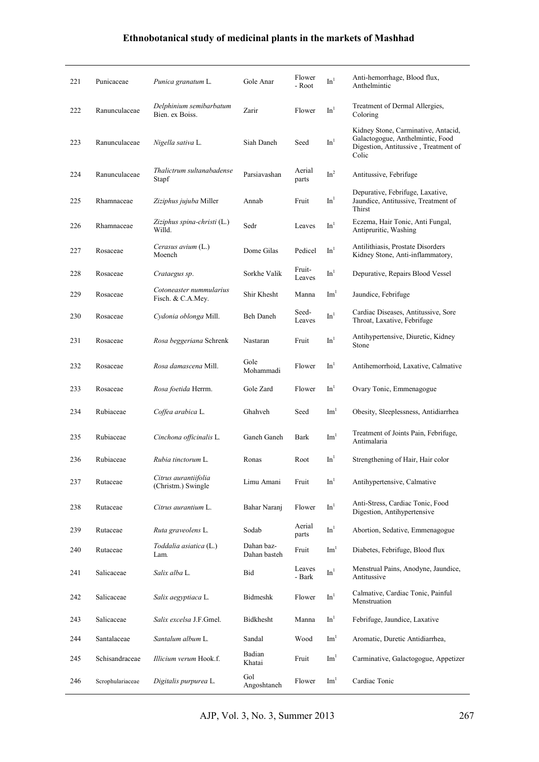| 221 | Punicaceae       | Punica granatum L.                           | Gole Anar                  | Flower<br>- Root | In <sup>1</sup> | Anti-hemorrhage, Blood flux,<br>Anthelmintic                                                                             |
|-----|------------------|----------------------------------------------|----------------------------|------------------|-----------------|--------------------------------------------------------------------------------------------------------------------------|
| 222 | Ranunculaceae    | Delphinium semibarbatum<br>Bien. ex Boiss.   | Zarir                      | Flower           | In <sup>1</sup> | Treatment of Dermal Allergies,<br>Coloring                                                                               |
| 223 | Ranunculaceae    | Nigella sativa L.                            | Siah Daneh                 | Seed             | In <sup>1</sup> | Kidney Stone, Carminative, Antacid,<br>Galactogogue, Anthelmintic, Food<br>Digestion, Antitussive, Treatment of<br>Colic |
| 224 | Ranunculaceae    | Thalictrum sultanabadense<br>Stapf           | Parsiavashan               | Aerial<br>parts  | In <sup>2</sup> | Antitussive, Febrifuge                                                                                                   |
| 225 | Rhamnaceae       | <i>Ziziphus jujuba</i> Miller                | Annab                      | Fruit            | In <sup>1</sup> | Depurative, Febrifuge, Laxative,<br>Jaundice, Antitussive, Treatment of<br>Thirst                                        |
| 226 | Rhamnaceae       | Ziziphus spina-christi (L.)<br>Willd.        | Sedr                       | Leaves           | In <sup>1</sup> | Eczema, Hair Tonic, Anti Fungal,<br>Antipruritic, Washing                                                                |
| 227 | Rosaceae         | Cerasus avium (L.)<br>Moench                 | Dome Gilas                 | Pedicel          | In <sup>1</sup> | Antilithiasis, Prostate Disorders<br>Kidney Stone, Anti-inflammatory,                                                    |
| 228 | Rosaceae         | Crataegus sp.                                | Sorkhe Valik               | Fruit-<br>Leaves | In <sup>1</sup> | Depurative, Repairs Blood Vessel                                                                                         |
| 229 | Rosaceae         | Cotoneaster nummularius<br>Fisch. & C.A.Mey. | Shir Khesht                | Manna            | $\mathrm{Im}^1$ | Jaundice, Febrifuge                                                                                                      |
| 230 | Rosaceae         | Cydonia oblonga Mill.                        | <b>Beh Daneh</b>           | Seed-<br>Leaves  | In <sup>1</sup> | Cardiac Diseases, Antitussive, Sore<br>Throat, Laxative, Febrifuge                                                       |
| 231 | Rosaceae         | Rosa beggeriana Schrenk                      | Nastaran                   | Fruit            | In <sup>1</sup> | Antihypertensive, Diuretic, Kidney<br>Stone                                                                              |
| 232 | Rosaceae         | Rosa damascena Mill.                         | Gole<br>Mohammadi          | Flower           | In <sup>1</sup> | Antihemorrhoid, Laxative, Calmative                                                                                      |
| 233 | Rosaceae         | Rosa foetida Herrm.                          | Gole Zard                  | Flower           | In <sup>1</sup> | Ovary Tonic, Emmenagogue                                                                                                 |
| 234 | Rubiaceae        | Coffea arabica L.                            | Ghahveh                    | Seed             | $\mathrm{Im}^1$ | Obesity, Sleeplessness, Antidiarrhea                                                                                     |
| 235 | Rubiaceae        | Cinchona officinalis L.                      | Ganeh Ganeh                | Bark             | Im <sup>1</sup> | Treatment of Joints Pain, Febrifuge,<br>Antimalaria                                                                      |
| 236 | Rubiaceae        | Rubia tinctorum L.                           | Ronas                      | Root             | In <sup>1</sup> | Strengthening of Hair, Hair color                                                                                        |
| 237 | Rutaceae         | Citrus aurantiifolia<br>(Christm.) Swingle   | Limu Amani                 | Fruit            | In <sup>1</sup> | Antihypertensive, Calmative                                                                                              |
| 238 | Rutaceae         | Citrus aurantium L.                          | Bahar Naranj               | Flower           | $\mathbf{In}^1$ | Anti-Stress, Cardiac Tonic, Food<br>Digestion, Antihypertensive                                                          |
| 239 | Rutaceae         | Ruta graveolens L.                           | Sodab                      | Aerial<br>parts  | In <sup>1</sup> | Abortion, Sedative, Emmenagogue                                                                                          |
| 240 | Rutaceae         | <i>Toddalia asiatica</i> (L.)<br>Lam.        | Dahan baz-<br>Dahan basteh | Fruit            | Im <sup>1</sup> | Diabetes, Febrifuge, Blood flux                                                                                          |
| 241 | Salicaceae       | Salix alba L.                                | Bid                        | Leaves<br>- Bark | In <sup>1</sup> | Menstrual Pains, Anodyne, Jaundice,<br>Antitussive                                                                       |
| 242 | Salicaceae       | Salix aegyptiaca L.                          | Bidmeshk                   | Flower           | In <sup>1</sup> | Calmative, Cardiac Tonic, Painful<br>Menstruation                                                                        |
| 243 | Salicaceae       | Salix excelsa J.F.Gmel.                      | Bidkhesht                  | Manna            | In <sup>1</sup> | Febrifuge, Jaundice, Laxative                                                                                            |
| 244 | Santalaceae      | Santalum album L.                            | Sandal                     | Wood             | Im <sup>1</sup> | Aromatic, Duretic Antidiarrhea,                                                                                          |
| 245 | Schisandraceae   | Illicium verum Hook.f.                       | Badian<br>Khatai           | Fruit            | Im <sup>1</sup> | Carminative, Galactogogue, Appetizer                                                                                     |
| 246 | Scrophulariaceae | Digitalis purpurea L.                        | Gol<br>Angoshtaneh         | Flower           | Im <sup>1</sup> | Cardiac Tonic                                                                                                            |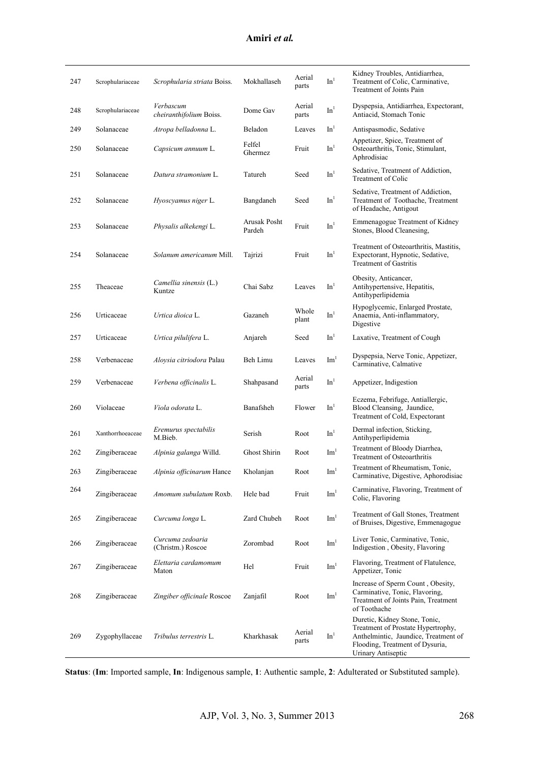| Amiri <i>et al</i> . |  |  |
|----------------------|--|--|
|                      |  |  |

| 247 | Scrophulariaceae | Scrophularia striata Boiss.                 | Mokhallaseh            | Aerial<br>parts | $\mathrm{In}^1$ | Kidney Troubles, Antidiarrhea,<br>Treatment of Colic, Carminative,<br>Treatment of Joints Pain                                                                       |
|-----|------------------|---------------------------------------------|------------------------|-----------------|-----------------|----------------------------------------------------------------------------------------------------------------------------------------------------------------------|
| 248 | Scrophulariaceae | Verbascum<br><i>cheiranthifolium</i> Boiss. | Dome Gav               | Aerial<br>parts | In <sup>1</sup> | Dyspepsia, Antidiarrhea, Expectorant,<br>Antiacid, Stomach Tonic                                                                                                     |
| 249 | Solanaceae       | Atropa belladonna L.                        | Beladon                | Leaves          | In <sup>1</sup> | Antispasmodic, Sedative                                                                                                                                              |
| 250 | Solanaceae       | Capsicum annuum L.                          | Felfel<br>Ghermez      | Fruit           | In <sup>1</sup> | Appetizer, Spice, Treatment of<br>Osteoarthritis, Tonic, Stimulant,<br>Aphrodisiac                                                                                   |
| 251 | Solanaceae       | Datura stramonium L.                        | Tatureh                | Seed            | In <sup>1</sup> | Sedative, Treatment of Addiction,<br>Treatment of Colic                                                                                                              |
| 252 | Solanaceae       | Hyoscyamus niger L.                         | Bangdaneh              | Seed            | In <sup>1</sup> | Sedative, Treatment of Addiction,<br>Treatment of Toothache, Treatment<br>of Headache, Antigout                                                                      |
| 253 | Solanaceae       | Physalis alkekengi L.                       | Arusak Posht<br>Pardeh | Fruit           | In <sup>1</sup> | Emmenagogue Treatment of Kidney<br>Stones, Blood Cleanesing,                                                                                                         |
| 254 | Solanaceae       | Solanum americanum Mill.                    | Tajrizi                | Fruit           | In <sup>1</sup> | Treatment of Osteoarthritis, Mastitis,<br>Expectorant, Hypnotic, Sedative,<br><b>Treatment of Gastritis</b>                                                          |
| 255 | Theaceae         | Camellia sinensis (L.)<br>Kuntze            | Chai Sabz              | Leaves          | In <sup>1</sup> | Obesity, Anticancer,<br>Antihypertensive, Hepatitis,<br>Antihyperlipidemia                                                                                           |
| 256 | Urticaceae       | Urtica dioica L.                            | Gazaneh                | Whole<br>plant  | In <sup>1</sup> | Hypoglycemic, Enlarged Prostate,<br>Anaemia, Anti-inflammatory,<br>Digestive                                                                                         |
| 257 | Urticaceae       | Urtica pilulifera L.                        | Anjareh                | Seed            | In <sup>1</sup> | Laxative, Treatment of Cough                                                                                                                                         |
| 258 | Verbenaceae      | Aloysia citriodora Palau                    | Beh Limu               | Leaves          | Im <sup>1</sup> | Dyspepsia, Nerve Tonic, Appetizer,<br>Carminative, Calmative                                                                                                         |
| 259 | Verbenaceae      | Verbena officinalis L.                      | Shahpasand             | Aerial<br>parts | In <sup>1</sup> | Appetizer, Indigestion                                                                                                                                               |
| 260 | Violaceae        | Viola odorata L.                            | Banafsheh              | Flower          | In <sup>1</sup> | Eczema, Febrifuge, Antiallergic,<br>Blood Cleansing, Jaundice,<br>Treatment of Cold, Expectorant                                                                     |
| 261 | Xanthorrhoeaceae | Eremurus spectabilis<br>M.Bieb.             | Serish                 | Root            | In <sup>1</sup> | Dermal infection, Sticking,<br>Antihyperlipidemia                                                                                                                    |
| 262 | Zingiberaceae    | Alpinia galanga Willd.                      | <b>Ghost Shirin</b>    | Root            | Im <sup>1</sup> | Treatment of Bloody Diarrhea,<br>Treatment of Osteoarthritis                                                                                                         |
| 263 | Zingiberaceae    | Alpinia officinarum Hance                   | Kholanjan              | Root            | Im <sup>1</sup> | Treatment of Rheumatism, Tonic,<br>Carminative, Digestive, Aphorodisiac                                                                                              |
| 264 | Zingiberaceae    | Amomum subulatum Roxb.                      | Hele bad               | Fruit           | Im <sup>1</sup> | Carminative, Flavoring, Treatment of<br>Colic, Flavoring                                                                                                             |
| 265 | Zingiberaceae    | Curcuma longa L.                            | Zard Chubeh            | Root            | Im <sup>1</sup> | Treatment of Gall Stones, Treatment<br>of Bruises, Digestive, Emmenagogue                                                                                            |
| 266 | Zingiberaceae    | Curcuma zedoaria<br>(Christm.) Roscoe       | Zorombad               | Root            | $\text{Im}^1$   | Liver Tonic, Carminative, Tonic,<br>Indigestion, Obesity, Flavoring                                                                                                  |
| 267 | Zingiberaceae    | Elettaria cardamomum<br>Maton               | Hel                    | Fruit           | Im <sup>1</sup> | Flavoring, Treatment of Flatulence,<br>Appetizer, Tonic                                                                                                              |
| 268 | Zingiberaceae    | Zingiber officinale Roscoe                  | Zanjafil               | Root            | Im <sup>1</sup> | Increase of Sperm Count, Obesity,<br>Carminative, Tonic, Flavoring,<br>Treatment of Joints Pain, Treatment<br>of Toothache                                           |
| 269 | Zygophyllaceae   | Tribulus terrestris L.                      | Kharkhasak             | Aerial<br>parts | In <sup>1</sup> | Duretic, Kidney Stone, Tonic,<br>Treatment of Prostate Hypertrophy,<br>Anthelmintic, Jaundice, Treatment of<br>Flooding, Treatment of Dysuria,<br>Urinary Antiseptic |

**Status**: (**Im**: Imported sample, **In**: Indigenous sample, **1**: Authentic sample, **2**: Adulterated or Substituted sample).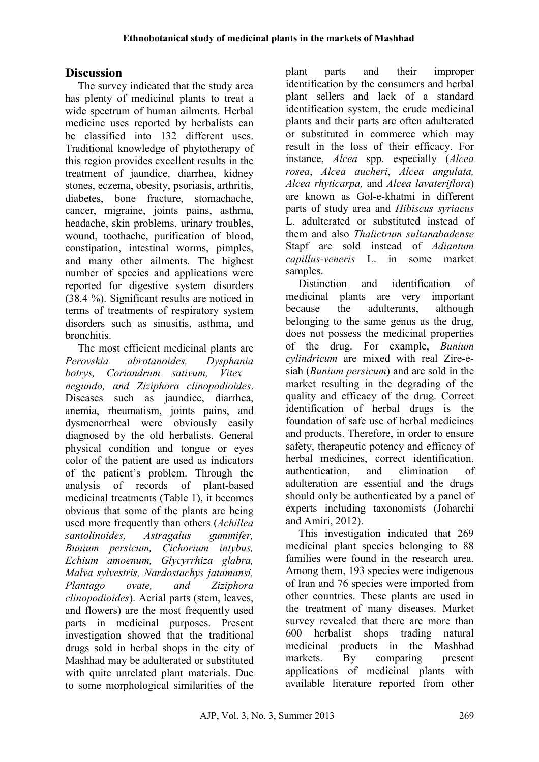# **Discussion**

The survey indicated that the study area has plenty of medicinal plants to treat a wide spectrum of human ailments. Herbal medicine uses reported by herbalists can be classified into 132 different uses. Traditional knowledge of phytotherapy of this region provides excellent results in the treatment of jaundice, diarrhea, kidney stones, eczema, obesity, psoriasis, arthritis, diabetes, bone fracture, stomachache, cancer, migraine, joints pains, asthma, headache, skin problems, urinary troubles, wound, toothache, purification of blood, constipation, intestinal worms, pimples, and many other ailments. The highest number of species and applications were reported for digestive system disorders (38.4 %). Significant results are noticed in terms of treatments of respiratory system disorders such as sinusitis, asthma, and bronchitis.

The most efficient medicinal plants are *Perovskia abrotanoides, Dysphania botrys, Coriandrum sativum, Vitex negundo, and Ziziphora clinopodioides*. Diseases such as jaundice, diarrhea, anemia, rheumatism, joints pains, and dysmenorrheal were obviously easily diagnosed by the old herbalists. General physical condition and tongue or eyes color of the patient are used as indicators of the patient's problem. Through the analysis of records of plant-based medicinal treatments (Table 1), it becomes obvious that some of the plants are being used more frequently than others (*Achillea santolinoides, Astragalus gummifer, Bunium persicum, Cichorium intybus, Echium amoenum, Glycyrrhiza glabra, Malva sylvestris, Nardostachys jatamansi, Plantago ovate, and Ziziphora clinopodioides*). Aerial parts (stem, leaves, and flowers) are the most frequently used parts in medicinal purposes. Present investigation showed that the traditional drugs sold in herbal shops in the city of Mashhad may be adulterated or substituted with quite unrelated plant materials. Due to some morphological similarities of the

plant parts and their improper identification by the consumers and herbal plant sellers and lack of a standard identification system, the crude medicinal plants and their parts are often adulterated or substituted in commerce which may result in the loss of their efficacy. For instance, *Alcea* spp. especially (*Alcea rosea*, *Alcea aucheri*, *Alcea angulata, Alcea rhyticarpa,* and *Alcea lavateriflora*) are known as Gol-e-khatmi in different parts of study area and *Hibiscus syriacus*  L. adulterated or substituted instead of them and also *Thalictrum sultanabadense*  Stapf are sold instead of *Adiantum capillus-veneris* L. in some market samples.

Distinction and identification of medicinal plants are very important because the adulterants, although belonging to the same genus as the drug, does not possess the medicinal properties of the drug. For example, *Bunium cylindricum* are mixed with real Zire-esiah (*Bunium persicum*) and are sold in the market resulting in the degrading of the quality and efficacy of the drug. Correct identification of herbal drugs is the foundation of safe use of herbal medicines and products. Therefore, in order to ensure safety, therapeutic potency and efficacy of herbal medicines, correct identification, authentication, and elimination of adulteration are essential and the drugs should only be authenticated by a panel of experts including taxonomists (Joharchi and Amiri, 2012).

This investigation indicated that 269 medicinal plant species belonging to 88 families were found in the research area. Among them, 193 species were indigenous of Iran and 76 species were imported from other countries. These plants are used in the treatment of many diseases. Market survey revealed that there are more than 600 herbalist shops trading natural medicinal products in the Mashhad markets. By comparing present applications of medicinal plants with available literature reported from other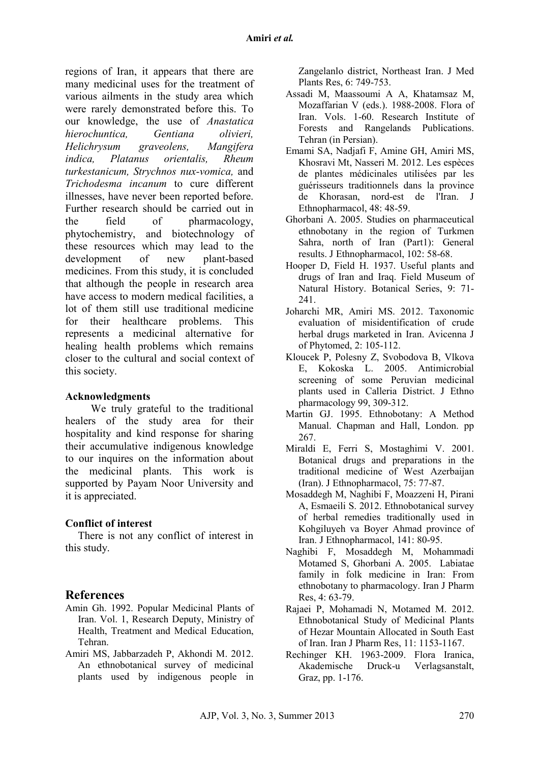regions of Iran, it appears that there are many medicinal uses for the treatment of various ailments in the study area which were rarely demonstrated before this. To our knowledge, the use of *Anastatica hierochuntica, Gentiana olivieri, Helichrysum graveolens, Mangifera indica, Platanus orientalis, Rheum turkestanicum, Strychnos nux-vomica,* and *Trichodesma incanum* to cure different illnesses, have never been reported before. Further research should be carried out in the field of pharmacology, phytochemistry, and biotechnology of these resources which may lead to the development of new plant-based medicines. From this study, it is concluded that although the people in research area have access to modern medical facilities, a lot of them still use traditional medicine for their healthcare problems. This represents a medicinal alternative for healing health problems which remains closer to the cultural and social context of this society.

#### **Acknowledgments**

We truly grateful to the traditional healers of the study area for their hospitality and kind response for sharing their accumulative indigenous knowledge to our inquires on the information about the medicinal plants. This work is supported by Payam Noor University and it is appreciated.

#### **Conflict of interest**

There is not any conflict of interest in this study.

# **References**

- Amin Gh. 1992. Popular Medicinal Plants of Iran. Vol. 1, Research Deputy, Ministry of Health, Treatment and Medical Education, Tehran.
- Amiri MS, Jabbarzadeh P, Akhondi M. 2012. An ethnobotanical survey of medicinal plants used by indigenous people in

Zangelanlo district, Northeast Iran. J Med Plants Res, 6: 749-753.

- Assadi M, Maassoumi A A, Khatamsaz M, Mozaffarian V (eds.). 1988-2008. Flora of Iran. Vols. 1-60. Research Institute of Forests and Rangelands Publications. Tehran (in Persian).
- Emami SA, Nadjafi F, Amine GH, Amiri MS, Khosravi Mt, Nasseri M. 2012. Les espèces de plantes médicinales utilisées par les guérisseurs traditionnels dans la province de Khorasan, nord-est de l'Iran. J Ethnopharmacol, 48: 48-59.
- Ghorbani A. 2005. Studies on pharmaceutical ethnobotany in the region of Turkmen Sahra, north of Iran (Part1): General results. J Ethnopharmacol, 102: 58-68.
- Hooper D, Field H. 1937. Useful plants and drugs of Iran and Iraq. Field Museum of Natural History. Botanical Series, 9: 71- 241.
- Joharchi MR, Amiri MS. 2012. Taxonomic evaluation of misidentification of crude herbal drugs marketed in Iran. Avicenna J of Phytomed, 2: 105-112.
- Kloucek P, Polesny Z, Svobodova B, Vlkova E, Kokoska L. 2005. Antimicrobial screening of some Peruvian medicinal plants used in Calleria District. J Ethno pharmacology 99, 309-312.
- Martin GJ. 1995. Ethnobotany: A Method Manual. Chapman and Hall, London. pp 267.
- Miraldi E, Ferri S, Mostaghimi V. 2001. Botanical drugs and preparations in the traditional medicine of West Azerbaijan (Iran). J Ethnopharmacol, 75: 77-87.
- Mosaddegh M, Naghibi F, Moazzeni H, Pirani A, Esmaeili S. 2012. Ethnobotanical survey of herbal remedies traditionally used in Kohgiluyeh va Boyer Ahmad province of Iran. J Ethnopharmacol, 141: 80-95.
- Naghibi F, Mosaddegh M, Mohammadi Motamed S, Ghorbani A. 2005. Labiatae family in folk medicine in Iran: From ethnobotany to pharmacology. Iran J Pharm Res, 4: 63-79.
- Rajaei P, Mohamadi N, Motamed M. 2012. Ethnobotanical Study of Medicinal Plants of Hezar Mountain Allocated in South East of Iran. Iran J Pharm Res, 11: 1153-1167.
- Rechinger KH. 1963-2009. Flora Iranica, Akademische Druck-u Verlagsanstalt, Graz, pp. 1-176.